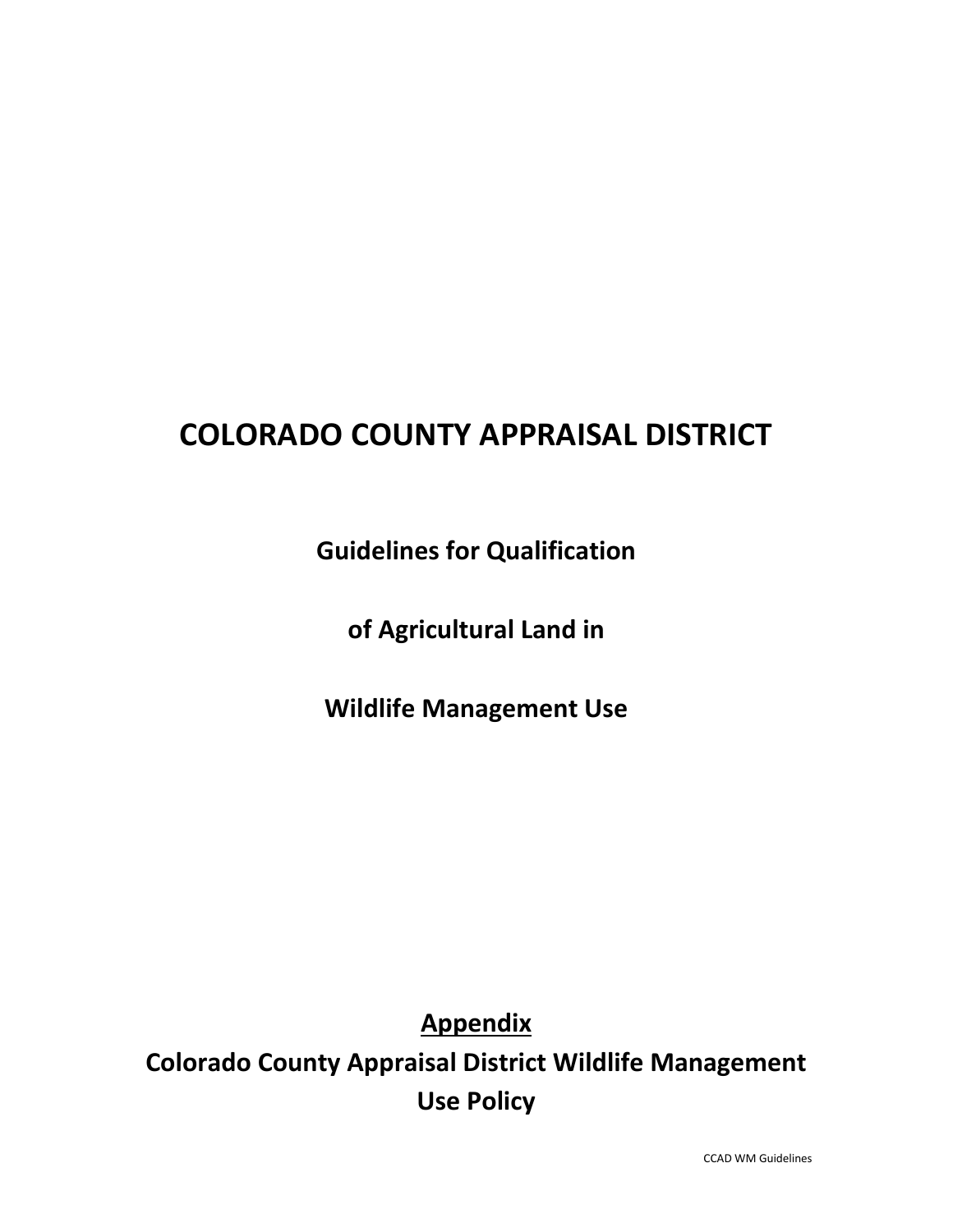# **COLORADO COUNTY APPRAISAL DISTRICT**

**Guidelines for Qualification**

**of Agricultural Land in**

**Wildlife Management Use**

**Appendix**

**Colorado County Appraisal District Wildlife Management Use Policy**

CCAD WM Guidelines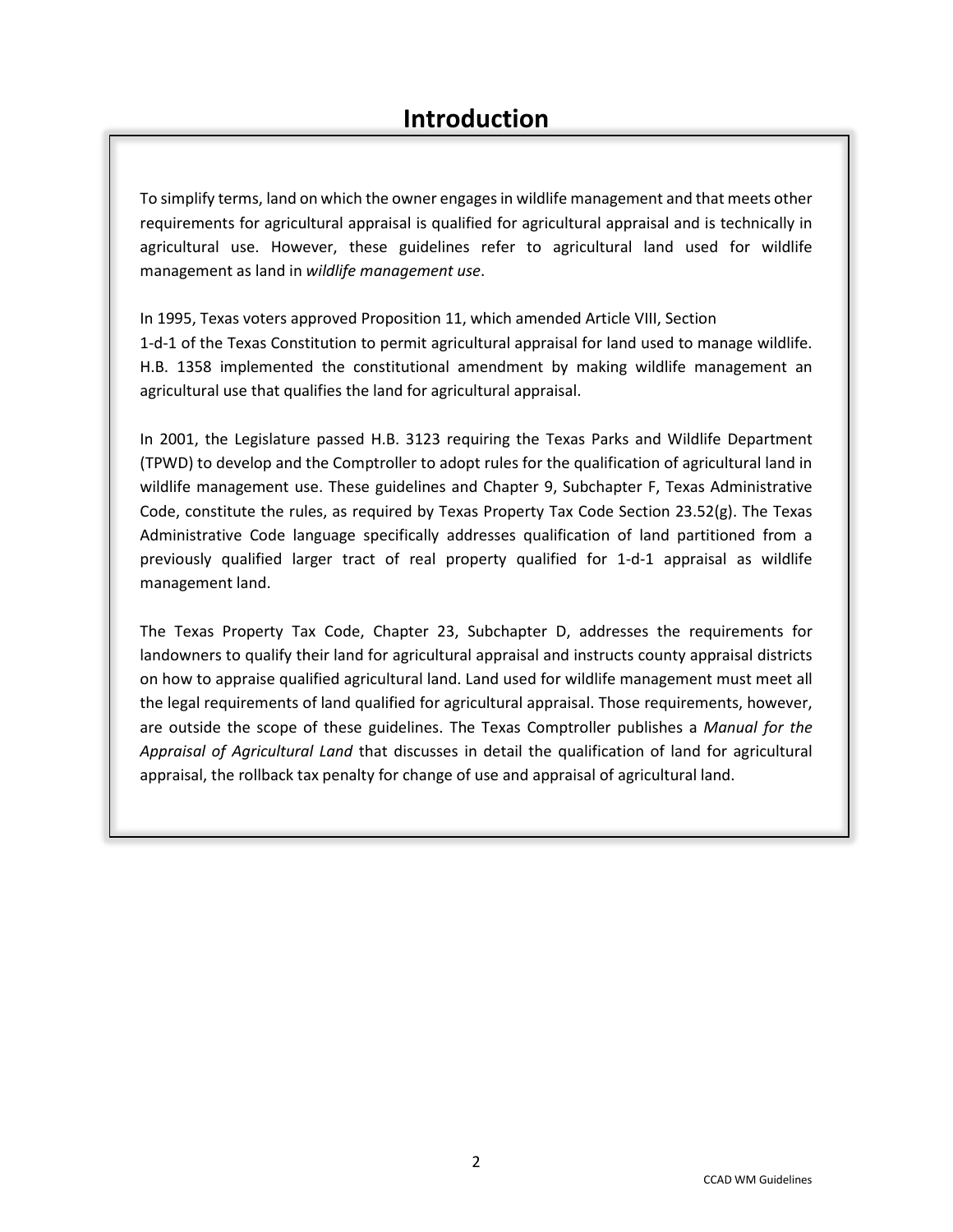To simplify terms, land on which the owner engages in wildlife management and that meets other requirements for agricultural appraisal is qualified for agricultural appraisal and is technically in agricultural use. However, these guidelines refer to agricultural land used for wildlife management as land in *wildlife management use*.

In 1995, Texas voters approved Proposition 11, which amended Article VIII, Section 1-d-1 of the Texas Constitution to permit agricultural appraisal for land used to manage wildlife. H.B. 1358 implemented the constitutional amendment by making wildlife management an agricultural use that qualifies the land for agricultural appraisal.

In 2001, the Legislature passed H.B. 3123 requiring the Texas Parks and Wildlife Department (TPWD) to develop and the Comptroller to adopt rules for the qualification of agricultural land in wildlife management use. These guidelines and Chapter 9, Subchapter F, Texas Administrative Code, constitute the rules, as required by Texas Property Tax Code Section 23.52(g). The Texas Administrative Code language specifically addresses qualification of land partitioned from a previously qualified larger tract of real property qualified for 1-d-1 appraisal as wildlife management land.

The Texas Property Tax Code, Chapter 23, Subchapter D, addresses the requirements for landowners to qualify their land for agricultural appraisal and instructs county appraisal districts on how to appraise qualified agricultural land. Land used for wildlife management must meet all the legal requirements of land qualified for agricultural appraisal. Those requirements, however, are outside the scope of these guidelines. The Texas Comptroller publishes a *Manual for the Appraisal of Agricultural Land* that discusses in detail the qualification of land for agricultural appraisal, the rollback tax penalty for change of use and appraisal of agricultural land.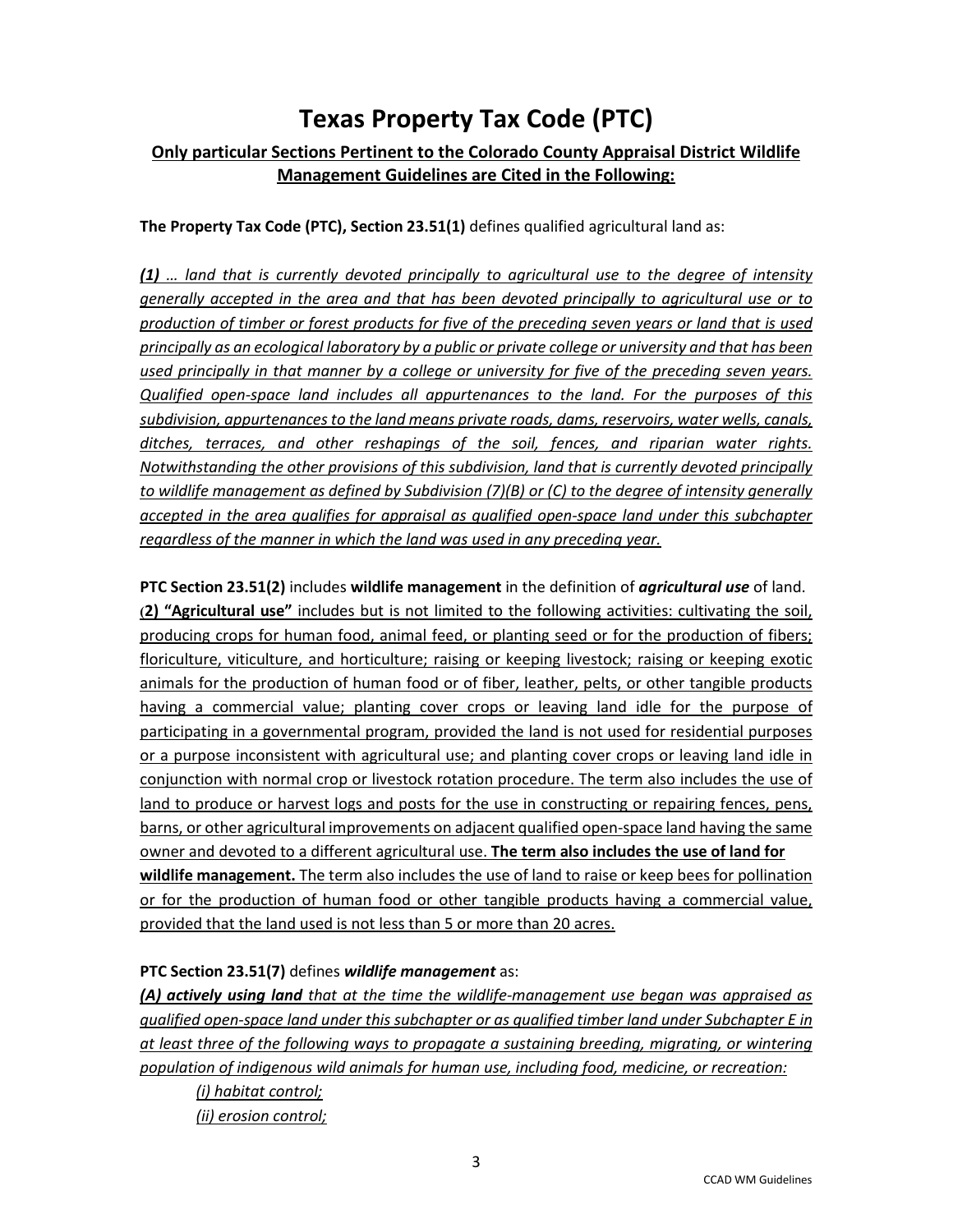## **Texas Property Tax Code (PTC)**

### **Only particular Sections Pertinent to the Colorado County Appraisal District Wildlife Management Guidelines are Cited in the Following:**

**The Property Tax Code (PTC), Section 23.51(1)** defines qualified agricultural land as:

*(1) … land that is currently devoted principally to agricultural use to the degree of intensity generally accepted in the area and that has been devoted principally to agricultural use or to production of timber or forest products for five of the preceding seven years or land that is used principally as an ecological laboratory by a public or private college or university and that has been used principally in that manner by a college or university for five of the preceding seven years. Qualified open-space land includes all appurtenances to the land. For the purposes of this subdivision, appurtenances to the land means private roads, dams, reservoirs, water wells, canals, ditches, terraces, and other reshapings of the soil, fences, and riparian water rights. Notwithstanding the other provisions of this subdivision, land that is currently devoted principally to wildlife management as defined by Subdivision (7)(B) or (C) to the degree of intensity generally accepted in the area qualifies for appraisal as qualified open-space land under this subchapter regardless of the manner in which the land was used in any preceding year.* 

**PTC Section 23.51(2)** includes **wildlife management** in the definition of *agricultural use* of land. **(2) "Agricultural use"** includes but is not limited to the following activities: cultivating the soil, producing crops for human food, animal feed, or planting seed or for the production of fibers; floriculture, viticulture, and horticulture; raising or keeping livestock; raising or keeping exotic animals for the production of human food or of fiber, leather, pelts, or other tangible products having a commercial value; planting cover crops or leaving land idle for the purpose of participating in a governmental program, provided the land is not used for residential purposes or a purpose inconsistent with agricultural use; and planting cover crops or leaving land idle in conjunction with normal crop or livestock rotation procedure. The term also includes the use of land to produce or harvest logs and posts for the use in constructing or repairing fences, pens, barns, or other agricultural improvements on adjacent qualified open-space land having the same owner and devoted to a different agricultural use. **The term also includes the use of land for wildlife management.** The term also includes the use of land to raise or keep bees for pollination or for the production of human food or other tangible products having a commercial value, provided that the land used is not less than 5 or more than 20 acres.

#### **PTC Section 23.51(7)** defines *wildlife management* as:

*(A) actively using land that at the time the wildlife-management use began was appraised as qualified open-space land under this subchapter or as qualified timber land under Subchapter E in at least three of the following ways to propagate a sustaining breeding, migrating, or wintering population of indigenous wild animals for human use, including food, medicine, or recreation:* 

*(i) habitat control; (ii) erosion control;*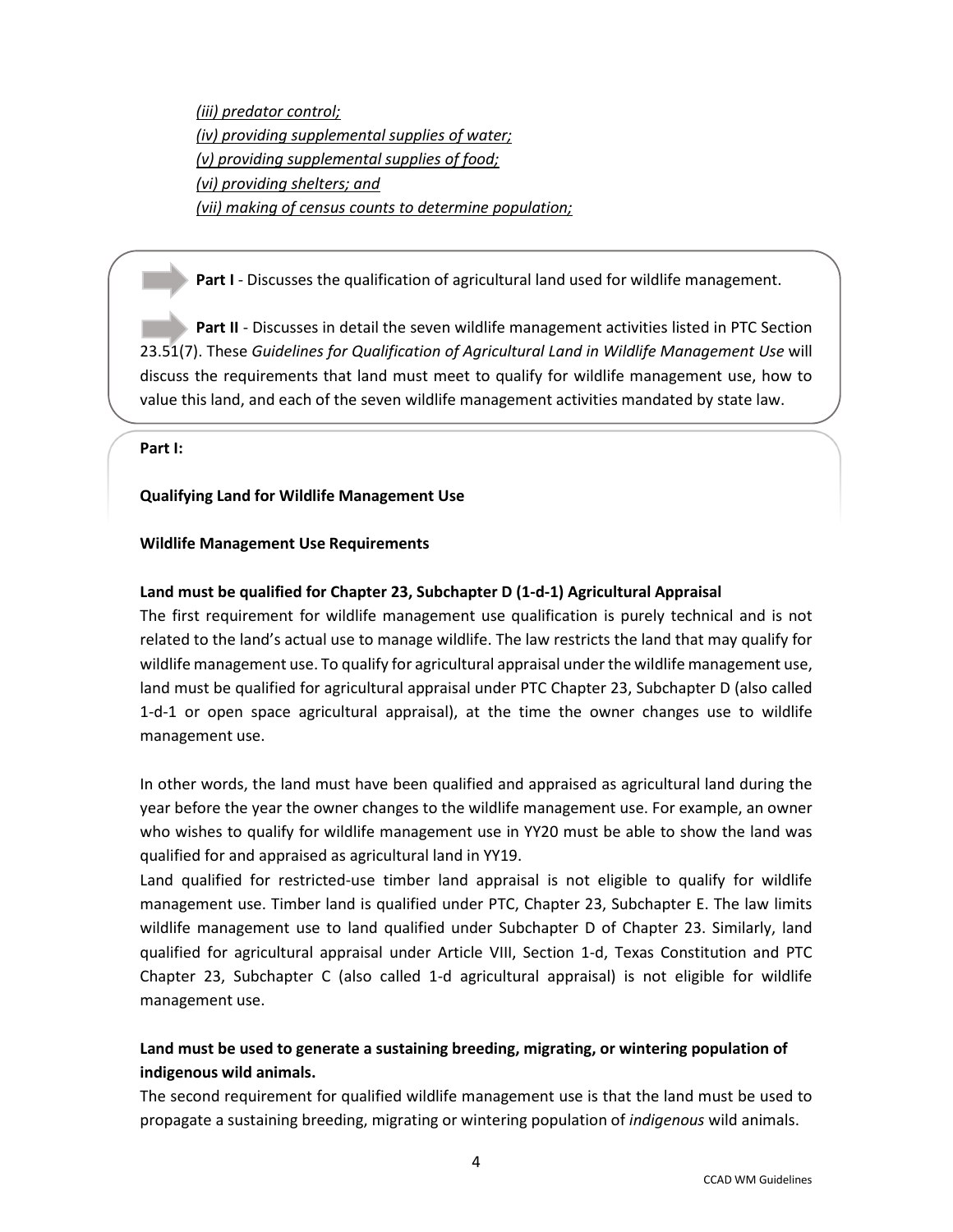*(iii) predator control; (iv) providing supplemental supplies of water; (v) providing supplemental supplies of food; (vi) providing shelters; and (vii) making of census counts to determine population;* 

**Part I** - Discusses the qualification of agricultural land used for wildlife management.

**Part II** - Discusses in detail the seven wildlife management activities listed in PTC Section 23.51(7). These *Guidelines for Qualification of Agricultural Land in Wildlife Management Use* will discuss the requirements that land must meet to qualify for wildlife management use, how to value this land, and each of the seven wildlife management activities mandated by state law.

**Part I:**

#### **Qualifying Land for Wildlife Management Use**

#### **Wildlife Management Use Requirements**

#### **Land must be qualified for Chapter 23, Subchapter D (1-d-1) Agricultural Appraisal**

The first requirement for wildlife management use qualification is purely technical and is not related to the land's actual use to manage wildlife. The law restricts the land that may qualify for wildlife management use. To qualify for agricultural appraisal under the wildlife management use, land must be qualified for agricultural appraisal under PTC Chapter 23, Subchapter D (also called 1-d-1 or open space agricultural appraisal), at the time the owner changes use to wildlife management use.

In other words, the land must have been qualified and appraised as agricultural land during the year before the year the owner changes to the wildlife management use. For example, an owner who wishes to qualify for wildlife management use in YY20 must be able to show the land was qualified for and appraised as agricultural land in YY19.

Land qualified for restricted-use timber land appraisal is not eligible to qualify for wildlife management use. Timber land is qualified under PTC, Chapter 23, Subchapter E. The law limits wildlife management use to land qualified under Subchapter D of Chapter 23. Similarly, land qualified for agricultural appraisal under Article VIII, Section 1-d, Texas Constitution and PTC Chapter 23, Subchapter C (also called 1-d agricultural appraisal) is not eligible for wildlife management use.

### **Land must be used to generate a sustaining breeding, migrating, or wintering population of indigenous wild animals.**

The second requirement for qualified wildlife management use is that the land must be used to propagate a sustaining breeding, migrating or wintering population of *indigenous* wild animals.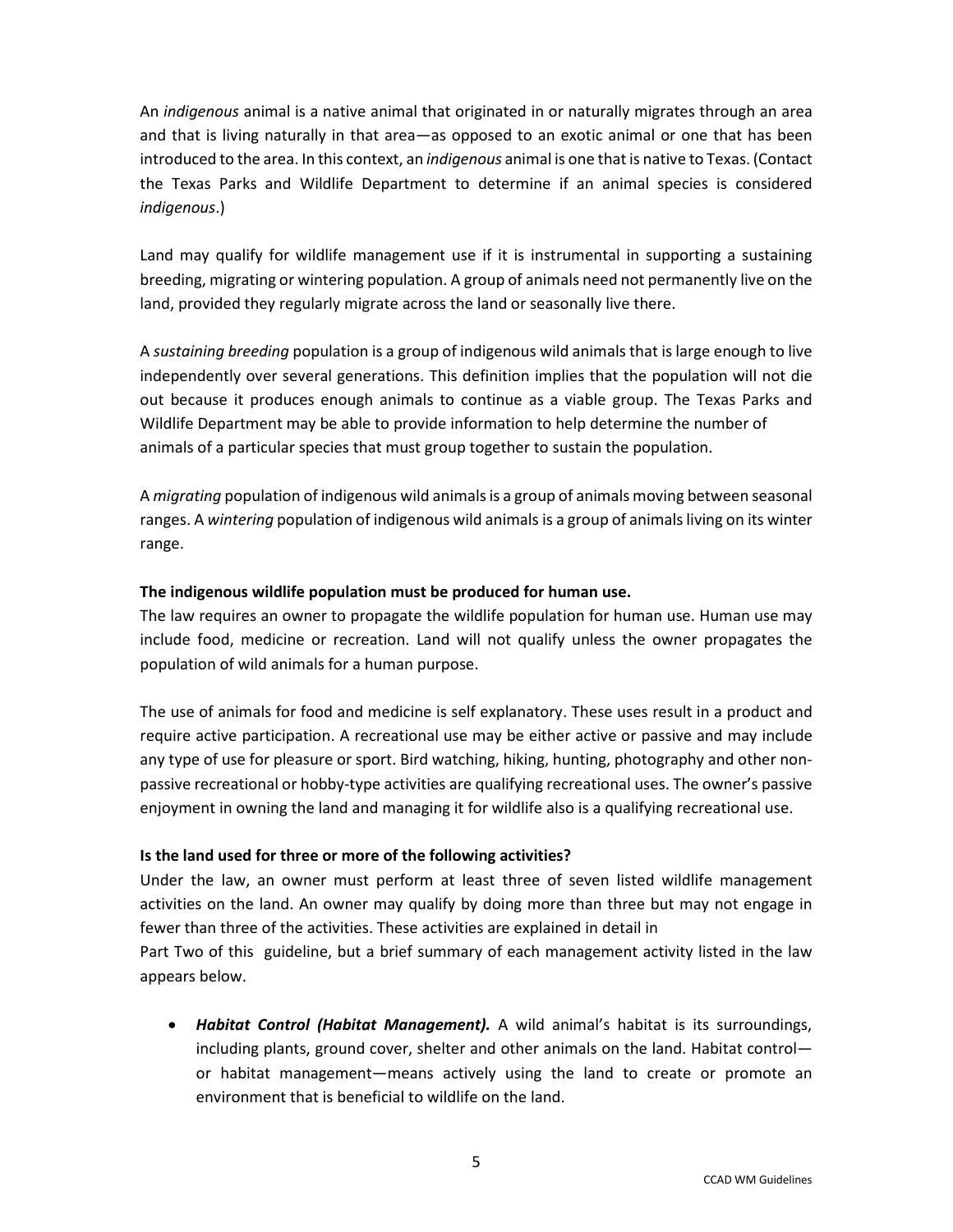An *indigenous* animal is a native animal that originated in or naturally migrates through an area and that is living naturally in that area—as opposed to an exotic animal or one that has been introduced to the area. In this context, an *indigenous* animal is one that is native to Texas. (Contact the Texas Parks and Wildlife Department to determine if an animal species is considered *indigenous*.)

Land may qualify for wildlife management use if it is instrumental in supporting a sustaining breeding, migrating or wintering population. A group of animals need not permanently live on the land, provided they regularly migrate across the land or seasonally live there.

A *sustaining breeding* population is a group of indigenous wild animals that is large enough to live independently over several generations. This definition implies that the population will not die out because it produces enough animals to continue as a viable group. The Texas Parks and Wildlife Department may be able to provide information to help determine the number of animals of a particular species that must group together to sustain the population.

A *migrating* population of indigenous wild animals is a group of animals moving between seasonal ranges. A *wintering* population of indigenous wild animals is a group of animals living on its winter range.

#### **The indigenous wildlife population must be produced for human use.**

The law requires an owner to propagate the wildlife population for human use. Human use may include food, medicine or recreation. Land will not qualify unless the owner propagates the population of wild animals for a human purpose.

The use of animals for food and medicine is self explanatory. These uses result in a product and require active participation. A recreational use may be either active or passive and may include any type of use for pleasure or sport. Bird watching, hiking, hunting, photography and other nonpassive recreational or hobby-type activities are qualifying recreational uses. The owner's passive enjoyment in owning the land and managing it for wildlife also is a qualifying recreational use.

#### **Is the land used for three or more of the following activities?**

Under the law, an owner must perform at least three of seven listed wildlife management activities on the land. An owner may qualify by doing more than three but may not engage in fewer than three of the activities. These activities are explained in detail in

Part Two of this guideline, but a brief summary of each management activity listed in the law appears below.

• *Habitat Control (Habitat Management).* A wild animal's habitat is its surroundings, including plants, ground cover, shelter and other animals on the land. Habitat control or habitat management—means actively using the land to create or promote an environment that is beneficial to wildlife on the land.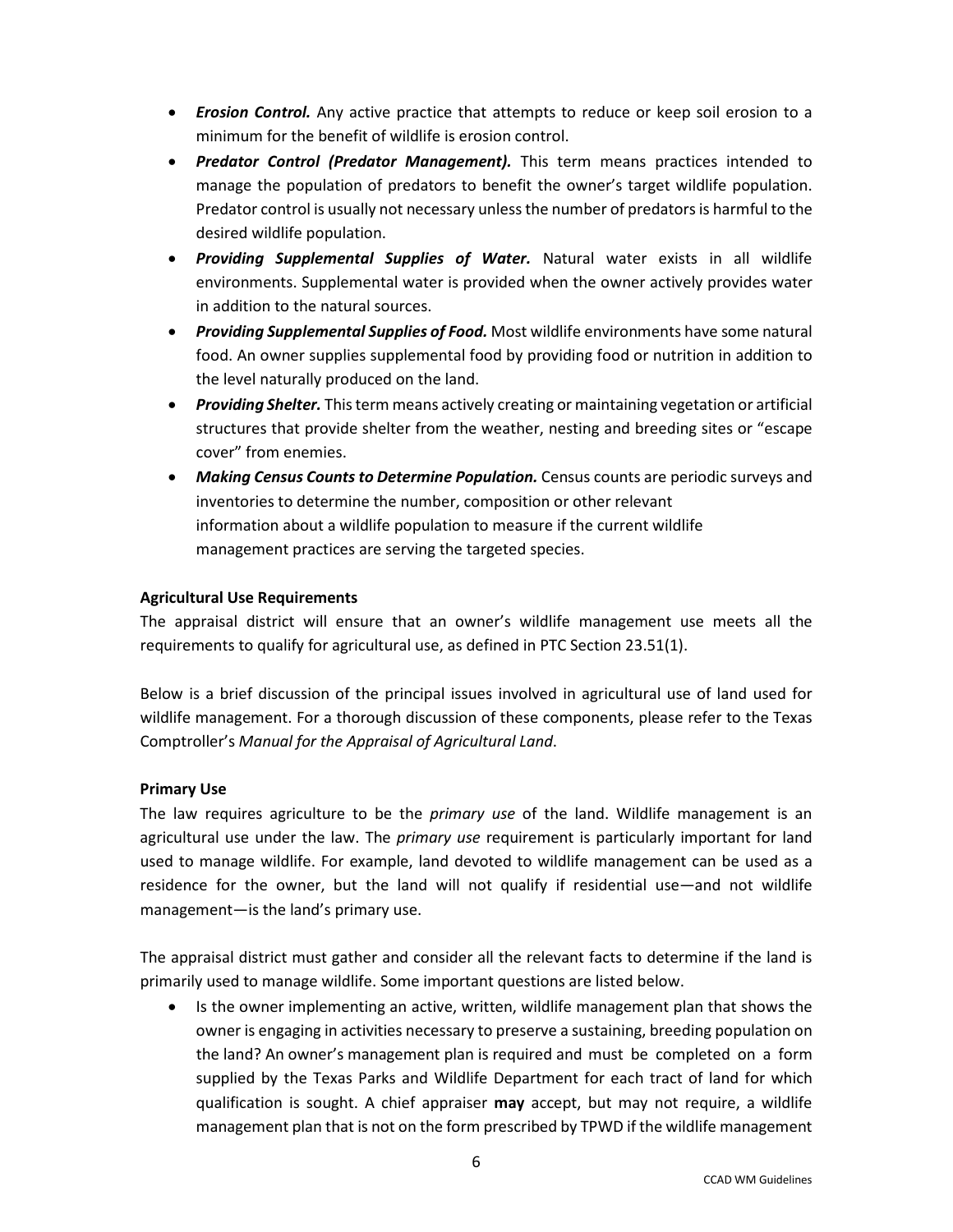- *Erosion Control.* Any active practice that attempts to reduce or keep soil erosion to a minimum for the benefit of wildlife is erosion control.
- *Predator Control (Predator Management).* This term means practices intended to manage the population of predators to benefit the owner's target wildlife population. Predator control is usually not necessary unless the number of predators is harmful to the desired wildlife population.
- *Providing Supplemental Supplies of Water.* Natural water exists in all wildlife environments. Supplemental water is provided when the owner actively provides water in addition to the natural sources.
- *Providing Supplemental Supplies of Food.* Most wildlife environments have some natural food. An owner supplies supplemental food by providing food or nutrition in addition to the level naturally produced on the land.
- *Providing Shelter.* This term means actively creating or maintaining vegetation or artificial structures that provide shelter from the weather, nesting and breeding sites or "escape cover" from enemies.
- *Making Census Counts to Determine Population.* Census counts are periodic surveys and inventories to determine the number, composition or other relevant information about a wildlife population to measure if the current wildlife management practices are serving the targeted species.

#### **Agricultural Use Requirements**

The appraisal district will ensure that an owner's wildlife management use meets all the requirements to qualify for agricultural use, as defined in PTC Section 23.51(1).

Below is a brief discussion of the principal issues involved in agricultural use of land used for wildlife management. For a thorough discussion of these components, please refer to the Texas Comptroller's *Manual for the Appraisal of Agricultural Land*.

#### **Primary Use**

The law requires agriculture to be the *primary use* of the land. Wildlife management is an agricultural use under the law. The *primary use* requirement is particularly important for land used to manage wildlife. For example, land devoted to wildlife management can be used as a residence for the owner, but the land will not qualify if residential use—and not wildlife management—is the land's primary use.

The appraisal district must gather and consider all the relevant facts to determine if the land is primarily used to manage wildlife. Some important questions are listed below.

• Is the owner implementing an active, written, wildlife management plan that shows the owner is engaging in activities necessary to preserve a sustaining, breeding population on the land? An owner's management plan is required and must be completed on a form supplied by the Texas Parks and Wildlife Department for each tract of land for which qualification is sought. A chief appraiser **may** accept, but may not require, a wildlife management plan that is not on the form prescribed by TPWD if the wildlife management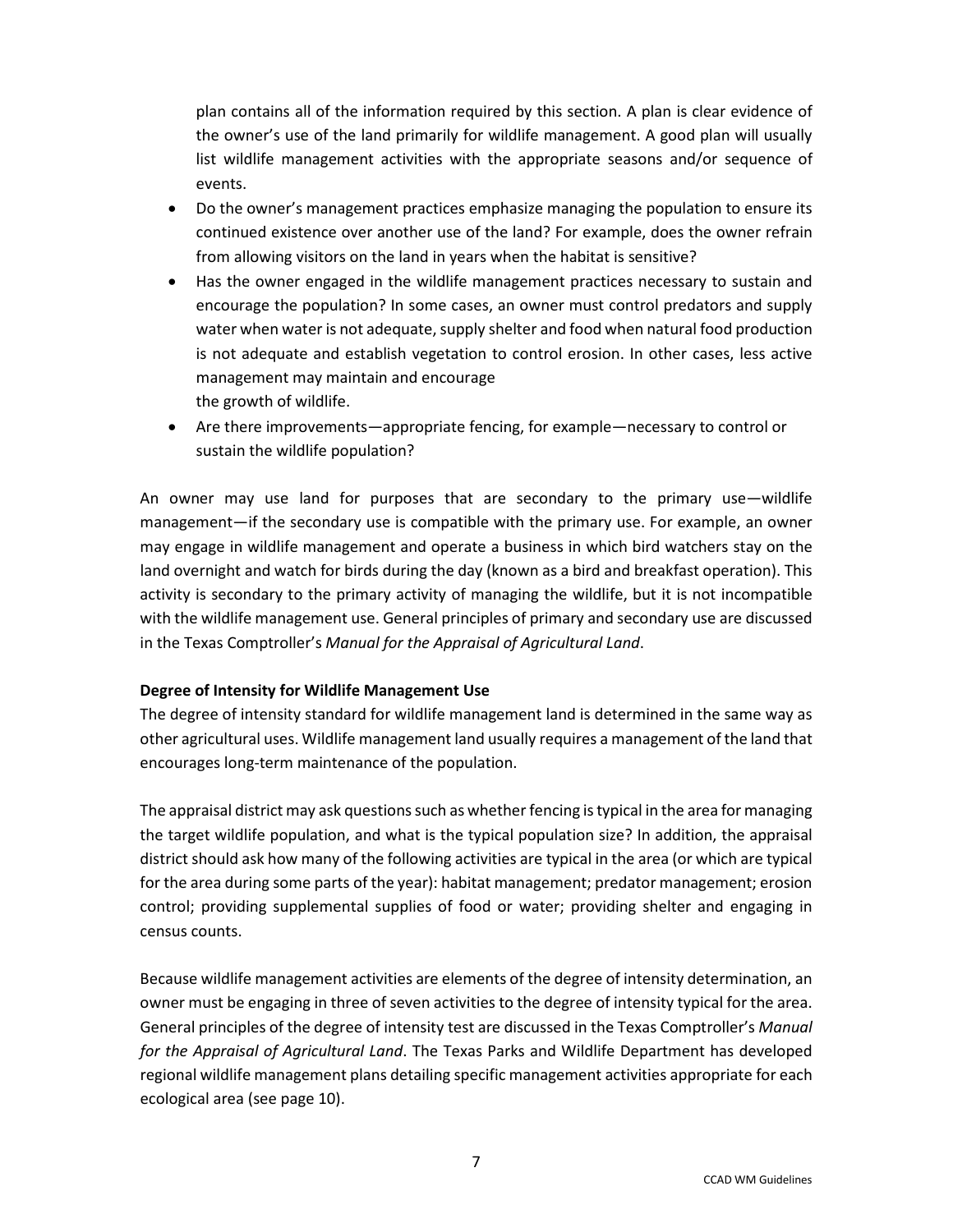plan contains all of the information required by this section. A plan is clear evidence of the owner's use of the land primarily for wildlife management. A good plan will usually list wildlife management activities with the appropriate seasons and/or sequence of events.

- Do the owner's management practices emphasize managing the population to ensure its continued existence over another use of the land? For example, does the owner refrain from allowing visitors on the land in years when the habitat is sensitive?
- Has the owner engaged in the wildlife management practices necessary to sustain and encourage the population? In some cases, an owner must control predators and supply water when water is not adequate, supply shelter and food when natural food production is not adequate and establish vegetation to control erosion. In other cases, less active management may maintain and encourage the growth of wildlife.
- Are there improvements—appropriate fencing, for example—necessary to control or sustain the wildlife population?

An owner may use land for purposes that are secondary to the primary use—wildlife management—if the secondary use is compatible with the primary use. For example, an owner may engage in wildlife management and operate a business in which bird watchers stay on the land overnight and watch for birds during the day (known as a bird and breakfast operation). This activity is secondary to the primary activity of managing the wildlife, but it is not incompatible with the wildlife management use. General principles of primary and secondary use are discussed in the Texas Comptroller's *Manual for the Appraisal of Agricultural Land*.

#### **Degree of Intensity for Wildlife Management Use**

The degree of intensity standard for wildlife management land is determined in the same way as other agricultural uses. Wildlife management land usually requires a management of the land that encourages long-term maintenance of the population.

The appraisal district may ask questions such as whether fencing is typical in the area for managing the target wildlife population, and what is the typical population size? In addition, the appraisal district should ask how many of the following activities are typical in the area (or which are typical for the area during some parts of the year): habitat management; predator management; erosion control; providing supplemental supplies of food or water; providing shelter and engaging in census counts.

Because wildlife management activities are elements of the degree of intensity determination, an owner must be engaging in three of seven activities to the degree of intensity typical for the area. General principles of the degree of intensity test are discussed in the Texas Comptroller's *Manual for the Appraisal of Agricultural Land*. The Texas Parks and Wildlife Department has developed regional wildlife management plans detailing specific management activities appropriate for each ecological area (see page 10).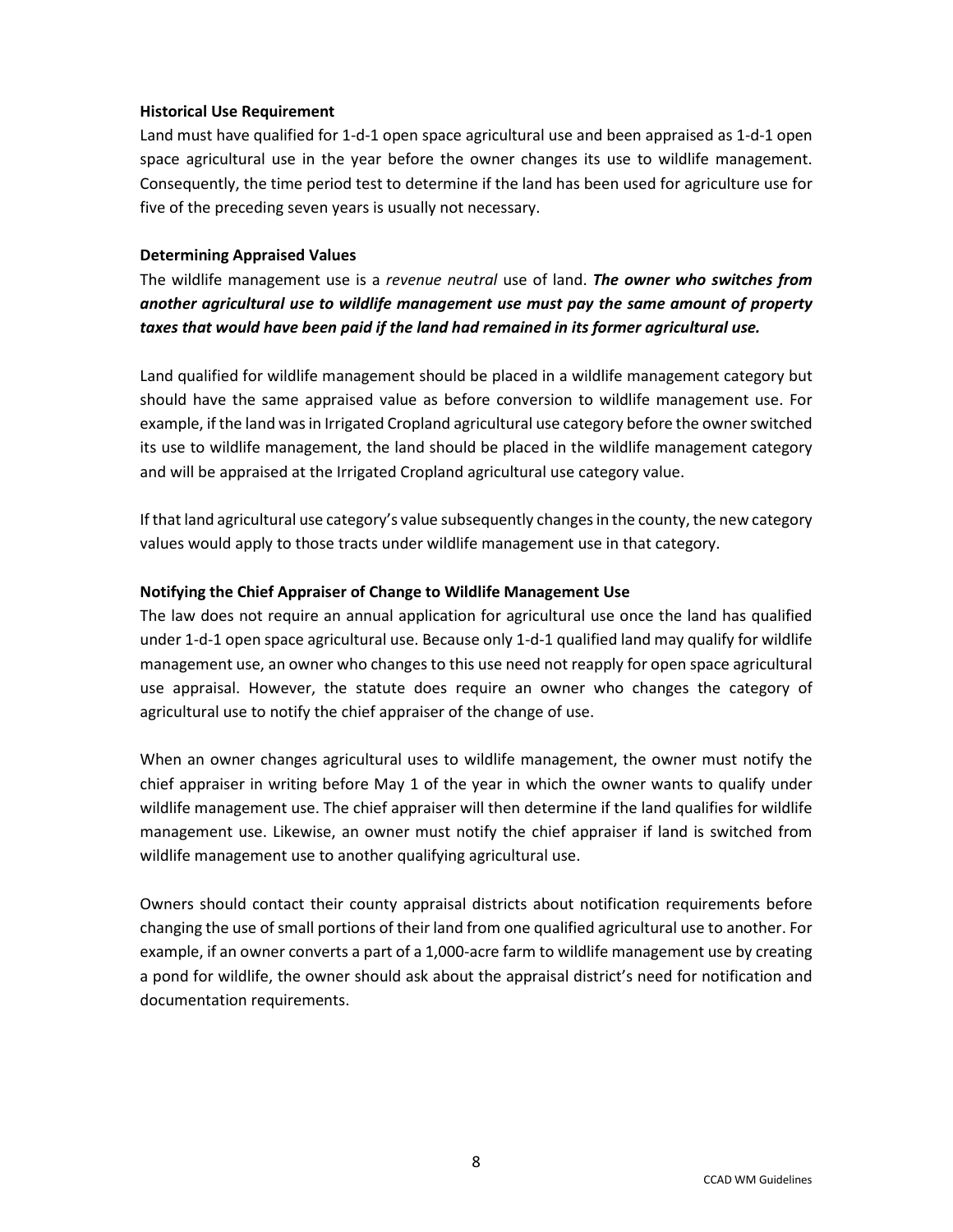#### **Historical Use Requirement**

Land must have qualified for 1-d-1 open space agricultural use and been appraised as 1-d-1 open space agricultural use in the year before the owner changes its use to wildlife management. Consequently, the time period test to determine if the land has been used for agriculture use for five of the preceding seven years is usually not necessary.

#### **Determining Appraised Values**

The wildlife management use is a *revenue neutral* use of land. *The owner who switches from another agricultural use to wildlife management use must pay the same amount of property taxes that would have been paid if the land had remained in its former agricultural use.*

Land qualified for wildlife management should be placed in a wildlife management category but should have the same appraised value as before conversion to wildlife management use. For example, if the land was in Irrigated Cropland agricultural use category before the owner switched its use to wildlife management, the land should be placed in the wildlife management category and will be appraised at the Irrigated Cropland agricultural use category value.

If that land agricultural use category's value subsequently changes in the county, the new category values would apply to those tracts under wildlife management use in that category.

#### **Notifying the Chief Appraiser of Change to Wildlife Management Use**

The law does not require an annual application for agricultural use once the land has qualified under 1-d-1 open space agricultural use. Because only 1-d-1 qualified land may qualify for wildlife management use, an owner who changes to this use need not reapply for open space agricultural use appraisal. However, the statute does require an owner who changes the category of agricultural use to notify the chief appraiser of the change of use.

When an owner changes agricultural uses to wildlife management, the owner must notify the chief appraiser in writing before May 1 of the year in which the owner wants to qualify under wildlife management use. The chief appraiser will then determine if the land qualifies for wildlife management use. Likewise, an owner must notify the chief appraiser if land is switched from wildlife management use to another qualifying agricultural use.

Owners should contact their county appraisal districts about notification requirements before changing the use of small portions of their land from one qualified agricultural use to another. For example, if an owner converts a part of a 1,000-acre farm to wildlife management use by creating a pond for wildlife, the owner should ask about the appraisal district's need for notification and documentation requirements.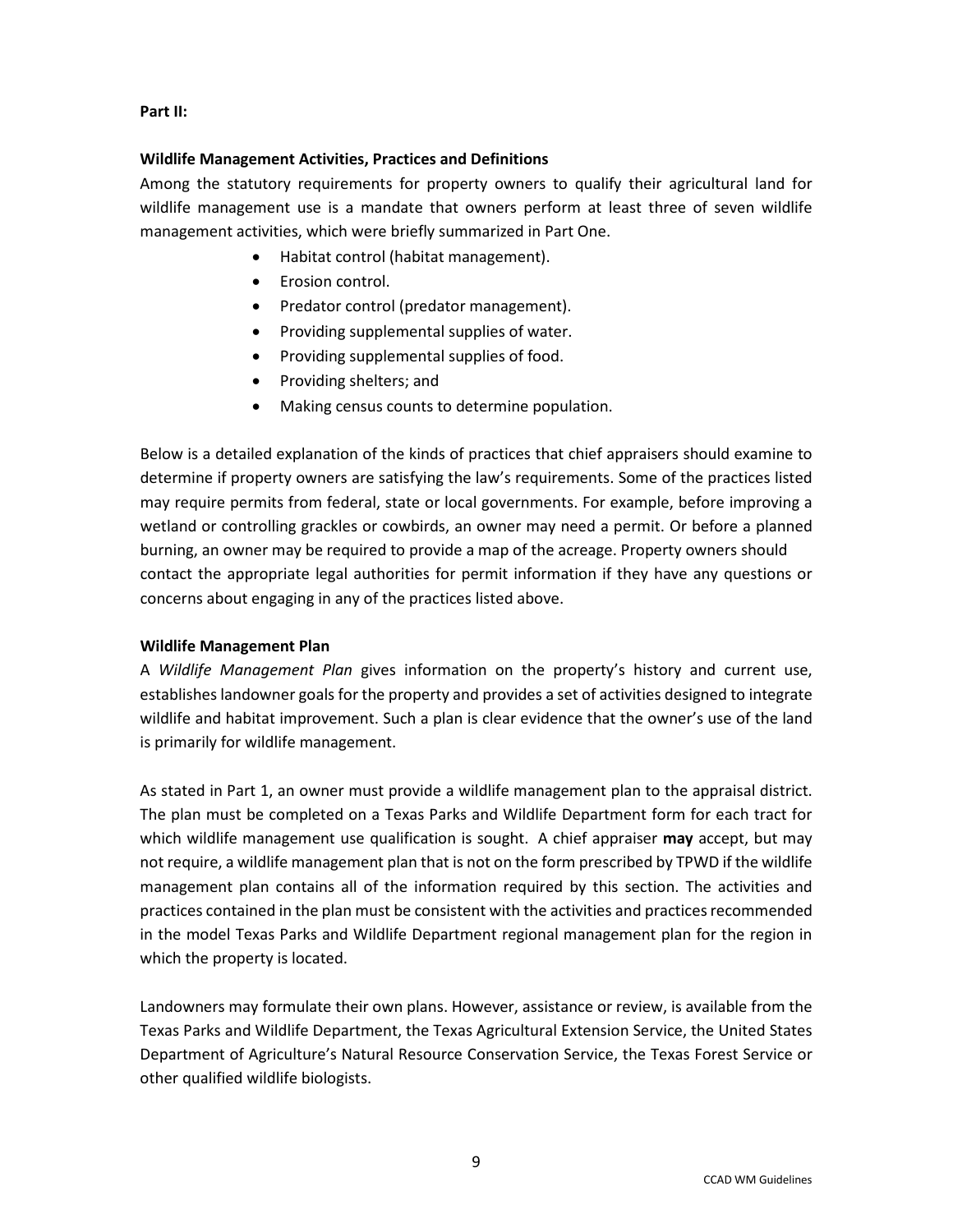#### **Part II:**

#### **Wildlife Management Activities, Practices and Definitions**

Among the statutory requirements for property owners to qualify their agricultural land for wildlife management use is a mandate that owners perform at least three of seven wildlife management activities, which were briefly summarized in Part One.

- Habitat control (habitat management).
- Erosion control.
- Predator control (predator management).
- Providing supplemental supplies of water.
- Providing supplemental supplies of food.
- Providing shelters; and
- Making census counts to determine population.

Below is a detailed explanation of the kinds of practices that chief appraisers should examine to determine if property owners are satisfying the law's requirements. Some of the practices listed may require permits from federal, state or local governments. For example, before improving a wetland or controlling grackles or cowbirds, an owner may need a permit. Or before a planned burning, an owner may be required to provide a map of the acreage. Property owners should contact the appropriate legal authorities for permit information if they have any questions or concerns about engaging in any of the practices listed above.

#### **Wildlife Management Plan**

A *Wildlife Management Plan* gives information on the property's history and current use, establishes landowner goals for the property and provides a set of activities designed to integrate wildlife and habitat improvement. Such a plan is clear evidence that the owner's use of the land is primarily for wildlife management.

As stated in Part 1, an owner must provide a wildlife management plan to the appraisal district. The plan must be completed on a Texas Parks and Wildlife Department form for each tract for which wildlife management use qualification is sought. A chief appraiser **may** accept, but may not require, a wildlife management plan that is not on the form prescribed by TPWD if the wildlife management plan contains all of the information required by this section. The activities and practices contained in the plan must be consistent with the activities and practices recommended in the model Texas Parks and Wildlife Department regional management plan for the region in which the property is located.

Landowners may formulate their own plans. However, assistance or review, is available from the Texas Parks and Wildlife Department, the Texas Agricultural Extension Service, the United States Department of Agriculture's Natural Resource Conservation Service, the Texas Forest Service or other qualified wildlife biologists.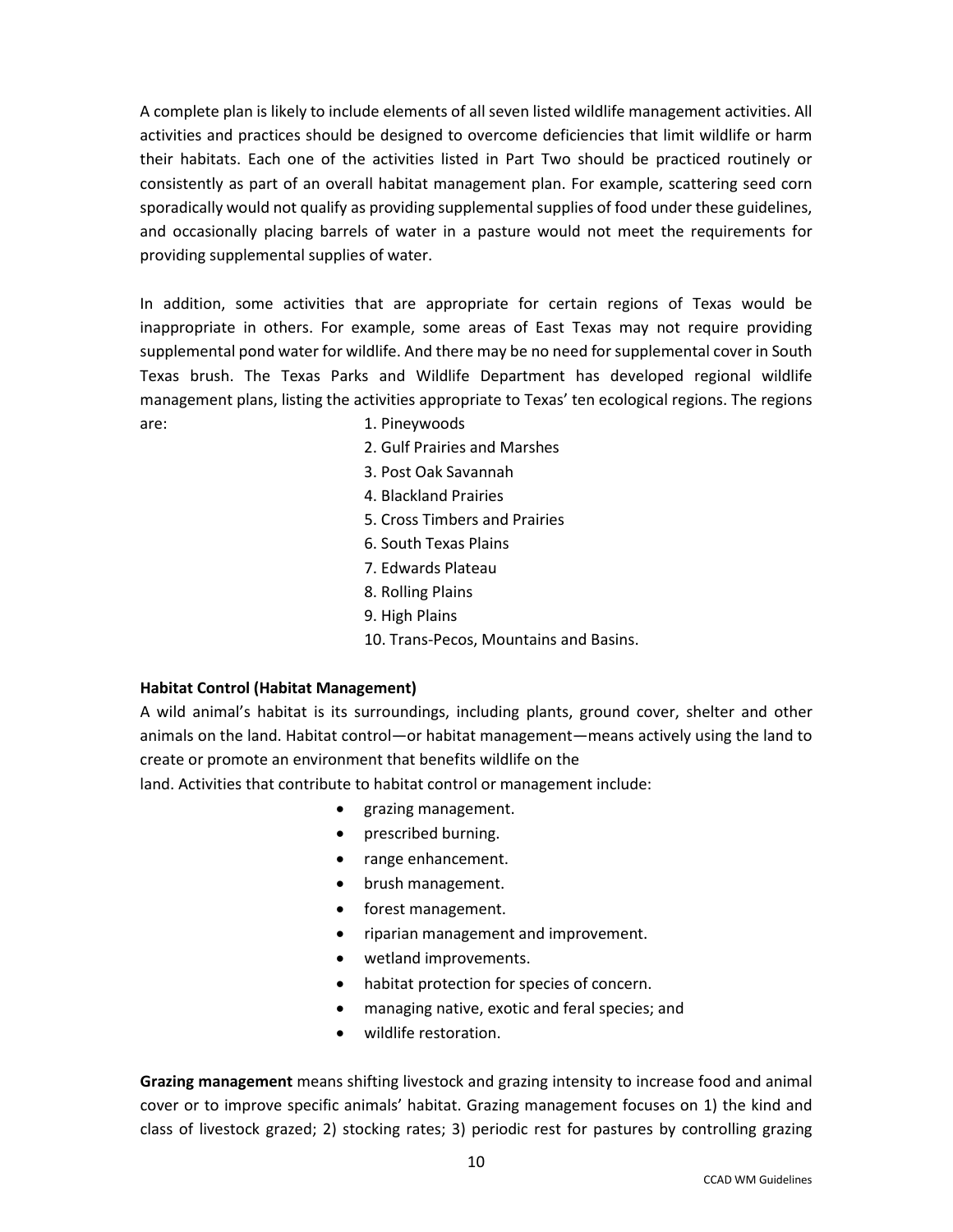A complete plan is likely to include elements of all seven listed wildlife management activities. All activities and practices should be designed to overcome deficiencies that limit wildlife or harm their habitats. Each one of the activities listed in Part Two should be practiced routinely or consistently as part of an overall habitat management plan. For example, scattering seed corn sporadically would not qualify as providing supplemental supplies of food under these guidelines, and occasionally placing barrels of water in a pasture would not meet the requirements for providing supplemental supplies of water.

In addition, some activities that are appropriate for certain regions of Texas would be inappropriate in others. For example, some areas of East Texas may not require providing supplemental pond water for wildlife. And there may be no need for supplemental cover in South Texas brush. The Texas Parks and Wildlife Department has developed regional wildlife management plans, listing the activities appropriate to Texas' ten ecological regions. The regions are: 1. Pineywoods

- 
- 2. Gulf Prairies and Marshes
- 3. Post Oak Savannah
- 4. Blackland Prairies
- 5. Cross Timbers and Prairies
- 6. South Texas Plains
- 7. Edwards Plateau
- 8. Rolling Plains
- 9. High Plains
- 10. Trans-Pecos, Mountains and Basins.

#### **Habitat Control (Habitat Management)**

A wild animal's habitat is its surroundings, including plants, ground cover, shelter and other animals on the land. Habitat control—or habitat management—means actively using the land to create or promote an environment that benefits wildlife on the

land. Activities that contribute to habitat control or management include:

- grazing management.
- prescribed burning.
- range enhancement.
- brush management.
- forest management.
- riparian management and improvement.
- wetland improvements.
- habitat protection for species of concern.
- managing native, exotic and feral species; and
- wildlife restoration.

**Grazing management** means shifting livestock and grazing intensity to increase food and animal cover or to improve specific animals' habitat. Grazing management focuses on 1) the kind and class of livestock grazed; 2) stocking rates; 3) periodic rest for pastures by controlling grazing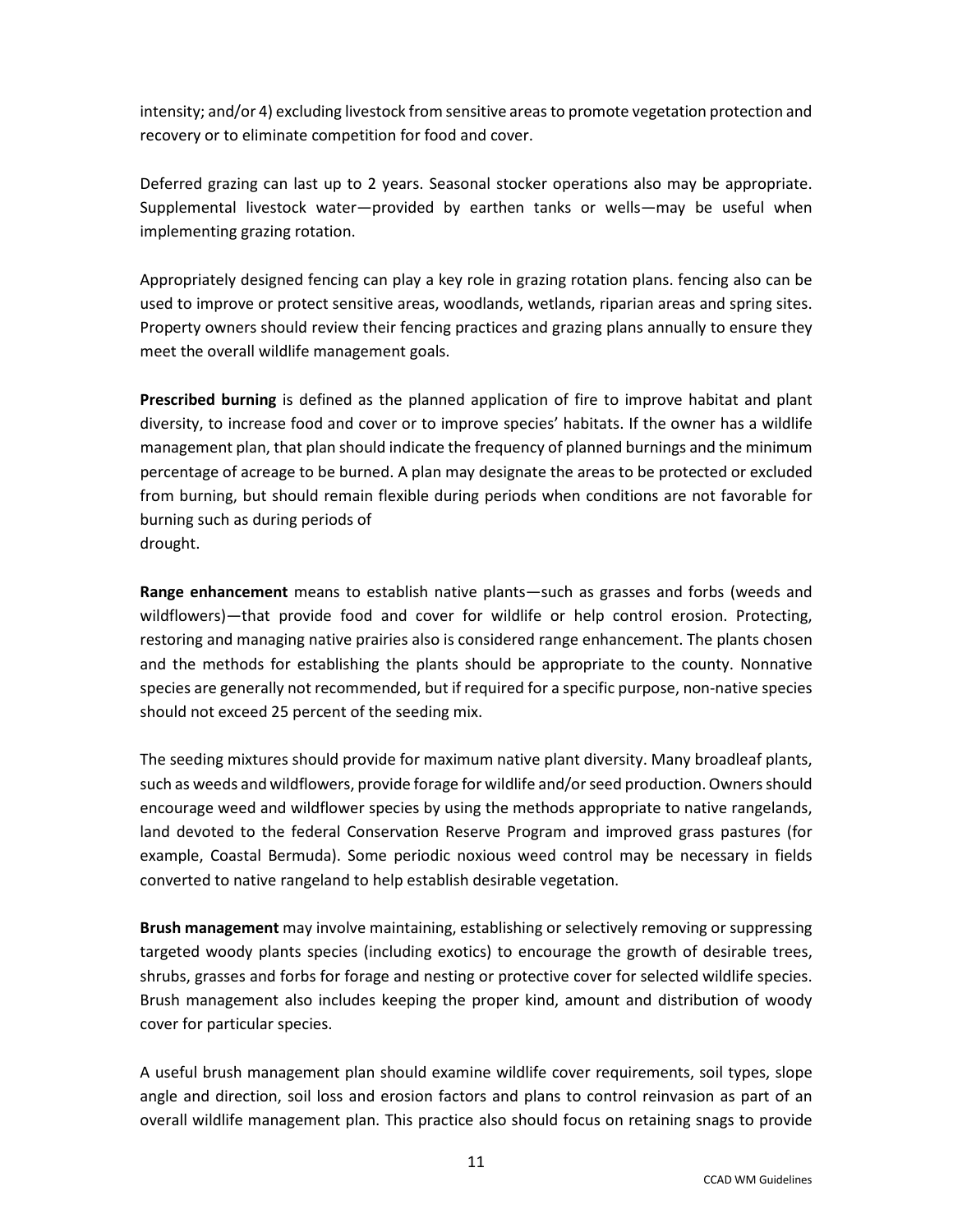intensity; and/or 4) excluding livestock from sensitive areas to promote vegetation protection and recovery or to eliminate competition for food and cover.

Deferred grazing can last up to 2 years. Seasonal stocker operations also may be appropriate. Supplemental livestock water—provided by earthen tanks or wells—may be useful when implementing grazing rotation.

Appropriately designed fencing can play a key role in grazing rotation plans. fencing also can be used to improve or protect sensitive areas, woodlands, wetlands, riparian areas and spring sites. Property owners should review their fencing practices and grazing plans annually to ensure they meet the overall wildlife management goals.

**Prescribed burning** is defined as the planned application of fire to improve habitat and plant diversity, to increase food and cover or to improve species' habitats. If the owner has a wildlife management plan, that plan should indicate the frequency of planned burnings and the minimum percentage of acreage to be burned. A plan may designate the areas to be protected or excluded from burning, but should remain flexible during periods when conditions are not favorable for burning such as during periods of drought.

**Range enhancement** means to establish native plants—such as grasses and forbs (weeds and wildflowers)—that provide food and cover for wildlife or help control erosion. Protecting, restoring and managing native prairies also is considered range enhancement. The plants chosen and the methods for establishing the plants should be appropriate to the county. Nonnative species are generally not recommended, but if required for a specific purpose, non-native species should not exceed 25 percent of the seeding mix.

The seeding mixtures should provide for maximum native plant diversity. Many broadleaf plants, such as weeds and wildflowers, provide forage for wildlife and/or seed production. Owners should encourage weed and wildflower species by using the methods appropriate to native rangelands, land devoted to the federal Conservation Reserve Program and improved grass pastures (for example, Coastal Bermuda). Some periodic noxious weed control may be necessary in fields converted to native rangeland to help establish desirable vegetation.

**Brush management** may involve maintaining, establishing or selectively removing or suppressing targeted woody plants species (including exotics) to encourage the growth of desirable trees, shrubs, grasses and forbs for forage and nesting or protective cover for selected wildlife species. Brush management also includes keeping the proper kind, amount and distribution of woody cover for particular species.

A useful brush management plan should examine wildlife cover requirements, soil types, slope angle and direction, soil loss and erosion factors and plans to control reinvasion as part of an overall wildlife management plan. This practice also should focus on retaining snags to provide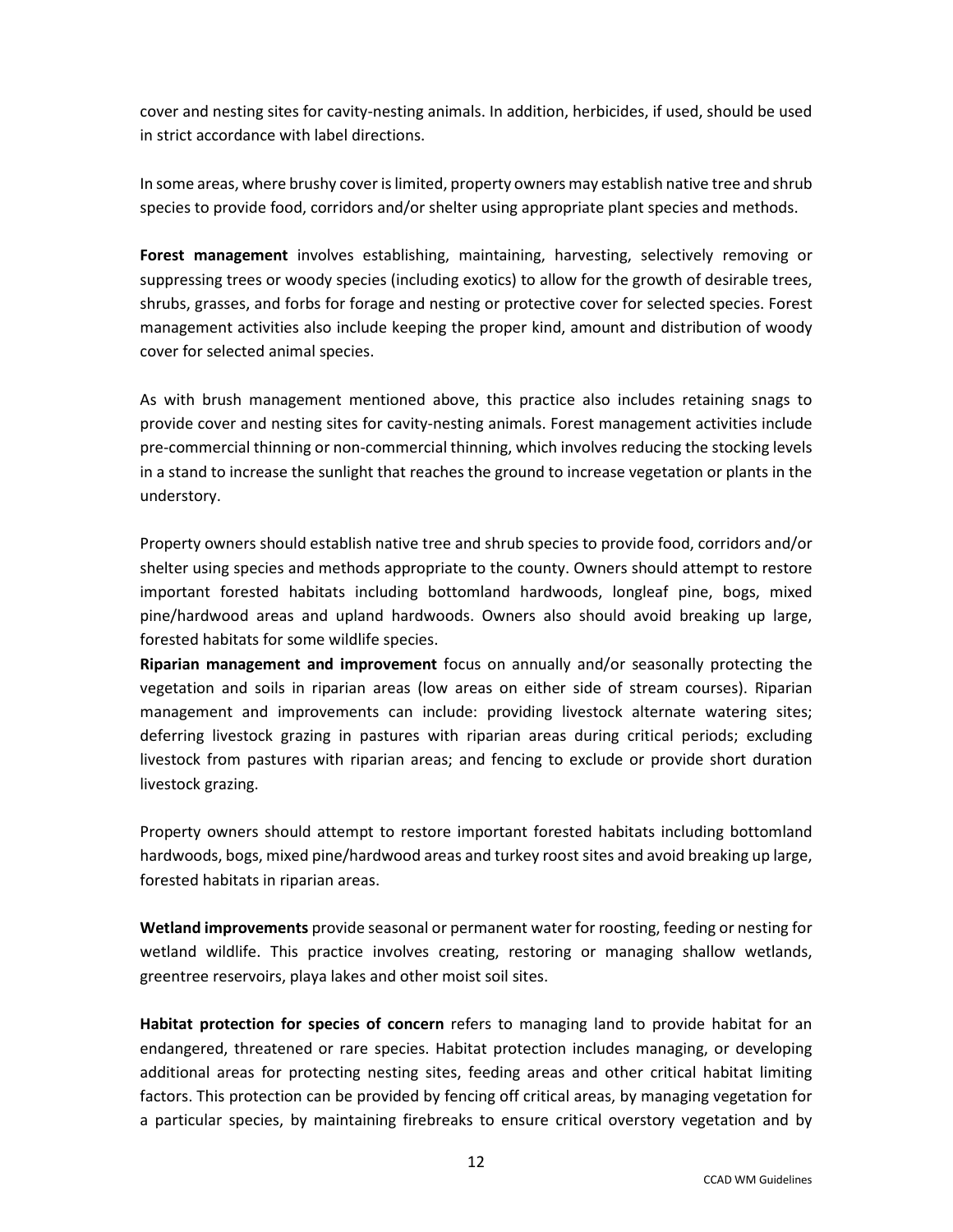cover and nesting sites for cavity-nesting animals. In addition, herbicides, if used, should be used in strict accordance with label directions.

In some areas, where brushy cover is limited, property owners may establish native tree and shrub species to provide food, corridors and/or shelter using appropriate plant species and methods.

**Forest management** involves establishing, maintaining, harvesting, selectively removing or suppressing trees or woody species (including exotics) to allow for the growth of desirable trees, shrubs, grasses, and forbs for forage and nesting or protective cover for selected species. Forest management activities also include keeping the proper kind, amount and distribution of woody cover for selected animal species.

As with brush management mentioned above, this practice also includes retaining snags to provide cover and nesting sites for cavity-nesting animals. Forest management activities include pre-commercial thinning or non-commercial thinning, which involves reducing the stocking levels in a stand to increase the sunlight that reaches the ground to increase vegetation or plants in the understory.

Property owners should establish native tree and shrub species to provide food, corridors and/or shelter using species and methods appropriate to the county. Owners should attempt to restore important forested habitats including bottomland hardwoods, longleaf pine, bogs, mixed pine/hardwood areas and upland hardwoods. Owners also should avoid breaking up large, forested habitats for some wildlife species.

**Riparian management and improvement** focus on annually and/or seasonally protecting the vegetation and soils in riparian areas (low areas on either side of stream courses). Riparian management and improvements can include: providing livestock alternate watering sites; deferring livestock grazing in pastures with riparian areas during critical periods; excluding livestock from pastures with riparian areas; and fencing to exclude or provide short duration livestock grazing.

Property owners should attempt to restore important forested habitats including bottomland hardwoods, bogs, mixed pine/hardwood areas and turkey roost sites and avoid breaking up large, forested habitats in riparian areas.

**Wetland improvements** provide seasonal or permanent water for roosting, feeding or nesting for wetland wildlife. This practice involves creating, restoring or managing shallow wetlands, greentree reservoirs, playa lakes and other moist soil sites.

**Habitat protection for species of concern** refers to managing land to provide habitat for an endangered, threatened or rare species. Habitat protection includes managing, or developing additional areas for protecting nesting sites, feeding areas and other critical habitat limiting factors. This protection can be provided by fencing off critical areas, by managing vegetation for a particular species, by maintaining firebreaks to ensure critical overstory vegetation and by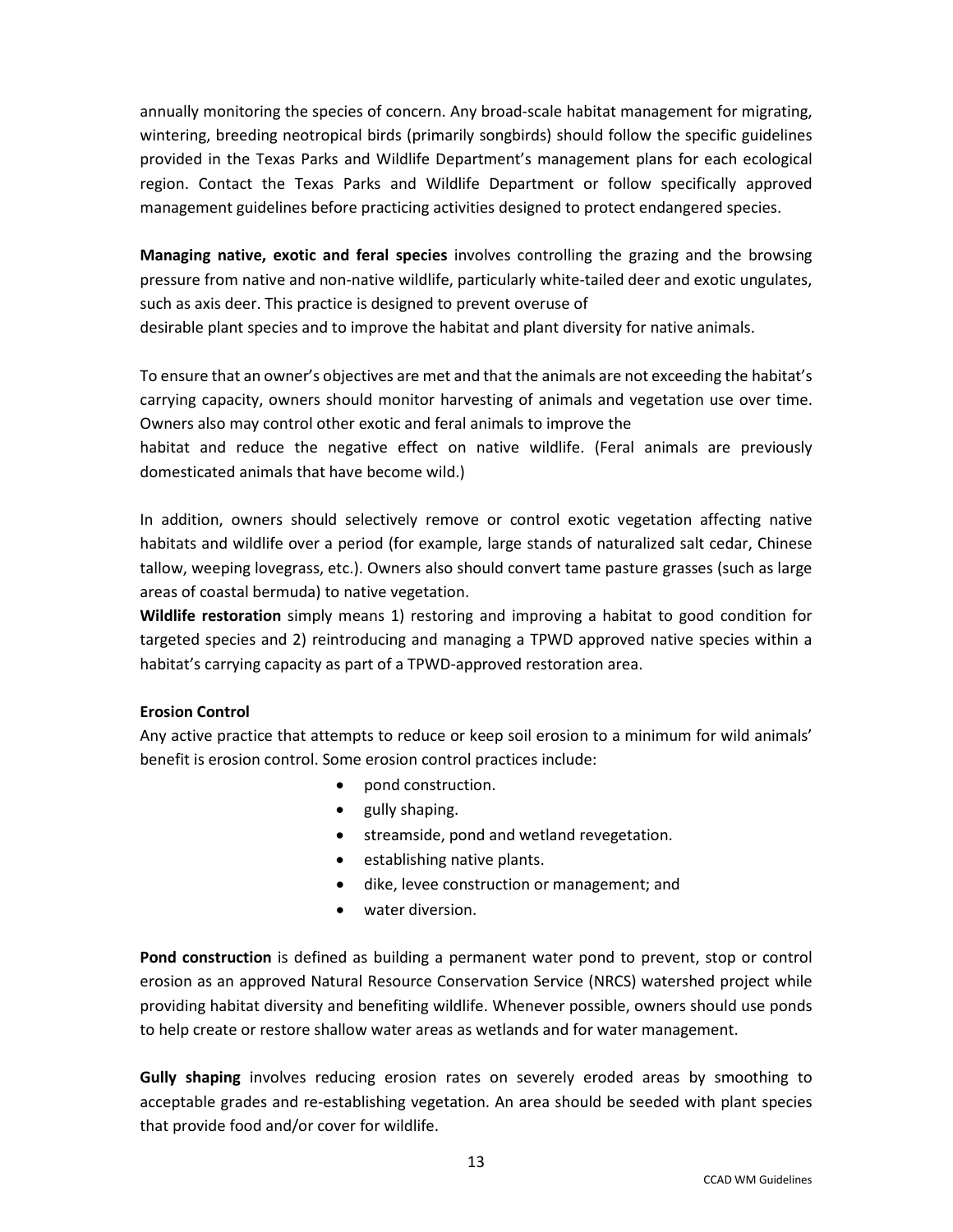annually monitoring the species of concern. Any broad-scale habitat management for migrating, wintering, breeding neotropical birds (primarily songbirds) should follow the specific guidelines provided in the Texas Parks and Wildlife Department's management plans for each ecological region. Contact the Texas Parks and Wildlife Department or follow specifically approved management guidelines before practicing activities designed to protect endangered species.

**Managing native, exotic and feral species** involves controlling the grazing and the browsing pressure from native and non-native wildlife, particularly white-tailed deer and exotic ungulates, such as axis deer. This practice is designed to prevent overuse of

desirable plant species and to improve the habitat and plant diversity for native animals.

To ensure that an owner's objectives are met and that the animals are not exceeding the habitat's carrying capacity, owners should monitor harvesting of animals and vegetation use over time. Owners also may control other exotic and feral animals to improve the

habitat and reduce the negative effect on native wildlife. (Feral animals are previously domesticated animals that have become wild.)

In addition, owners should selectively remove or control exotic vegetation affecting native habitats and wildlife over a period (for example, large stands of naturalized salt cedar, Chinese tallow, weeping lovegrass, etc.). Owners also should convert tame pasture grasses (such as large areas of coastal bermuda) to native vegetation.

**Wildlife restoration** simply means 1) restoring and improving a habitat to good condition for targeted species and 2) reintroducing and managing a TPWD approved native species within a habitat's carrying capacity as part of a TPWD-approved restoration area.

#### **Erosion Control**

Any active practice that attempts to reduce or keep soil erosion to a minimum for wild animals' benefit is erosion control. Some erosion control practices include:

- pond construction.
- gully shaping.
- streamside, pond and wetland revegetation.
- establishing native plants.
- dike, levee construction or management; and
- water diversion.

**Pond construction** is defined as building a permanent water pond to prevent, stop or control erosion as an approved Natural Resource Conservation Service (NRCS) watershed project while providing habitat diversity and benefiting wildlife. Whenever possible, owners should use ponds to help create or restore shallow water areas as wetlands and for water management.

**Gully shaping** involves reducing erosion rates on severely eroded areas by smoothing to acceptable grades and re-establishing vegetation. An area should be seeded with plant species that provide food and/or cover for wildlife.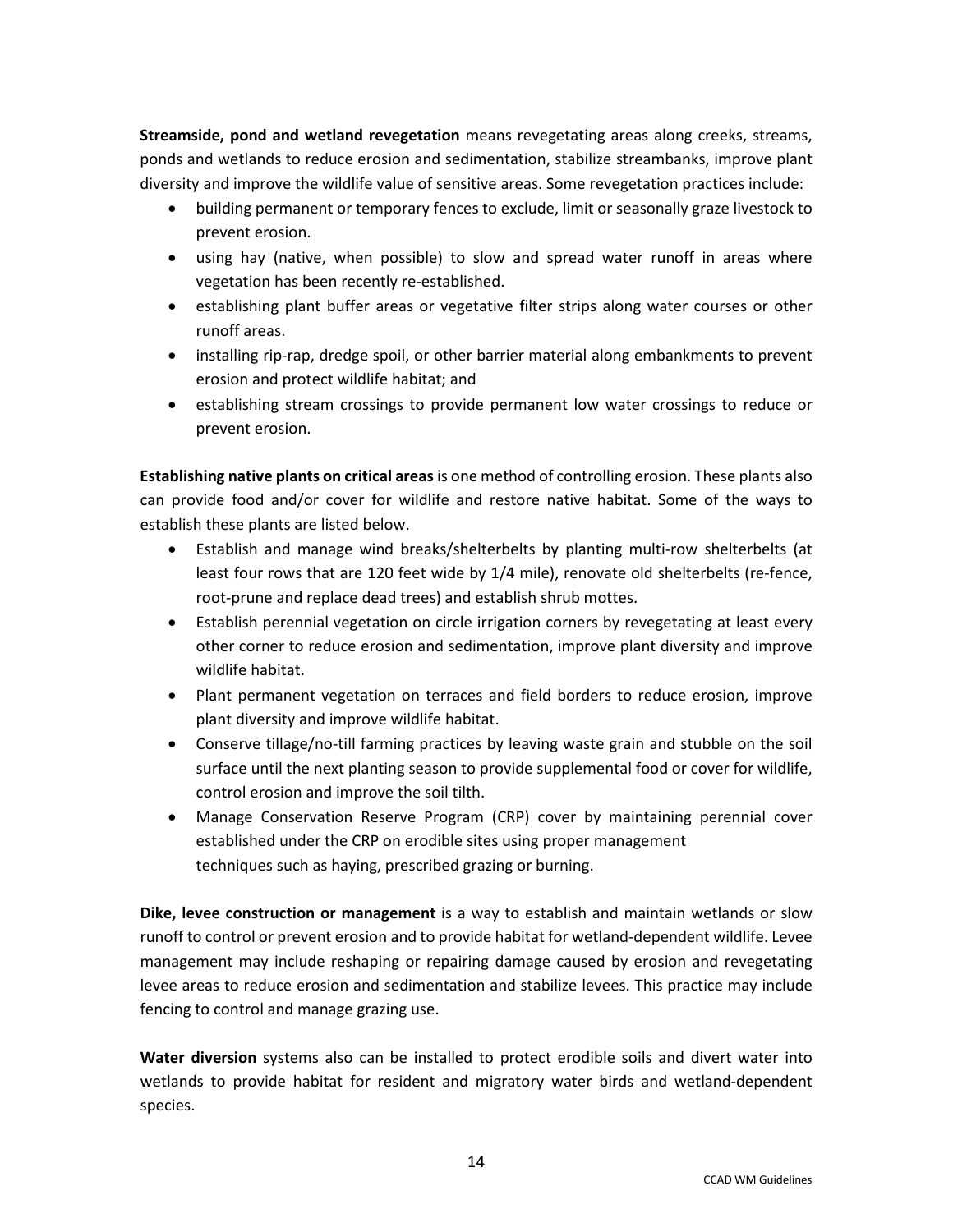**Streamside, pond and wetland revegetation** means revegetating areas along creeks, streams, ponds and wetlands to reduce erosion and sedimentation, stabilize streambanks, improve plant diversity and improve the wildlife value of sensitive areas. Some revegetation practices include:

- building permanent or temporary fences to exclude, limit or seasonally graze livestock to prevent erosion.
- using hay (native, when possible) to slow and spread water runoff in areas where vegetation has been recently re-established.
- establishing plant buffer areas or vegetative filter strips along water courses or other runoff areas.
- installing rip-rap, dredge spoil, or other barrier material along embankments to prevent erosion and protect wildlife habitat; and
- establishing stream crossings to provide permanent low water crossings to reduce or prevent erosion.

**Establishing native plants on critical areas** is one method of controlling erosion. These plants also can provide food and/or cover for wildlife and restore native habitat. Some of the ways to establish these plants are listed below.

- Establish and manage wind breaks/shelterbelts by planting multi-row shelterbelts (at least four rows that are 120 feet wide by 1/4 mile), renovate old shelterbelts (re-fence, root-prune and replace dead trees) and establish shrub mottes.
- Establish perennial vegetation on circle irrigation corners by revegetating at least every other corner to reduce erosion and sedimentation, improve plant diversity and improve wildlife habitat.
- Plant permanent vegetation on terraces and field borders to reduce erosion, improve plant diversity and improve wildlife habitat.
- Conserve tillage/no-till farming practices by leaving waste grain and stubble on the soil surface until the next planting season to provide supplemental food or cover for wildlife, control erosion and improve the soil tilth.
- Manage Conservation Reserve Program (CRP) cover by maintaining perennial cover established under the CRP on erodible sites using proper management techniques such as haying, prescribed grazing or burning.

**Dike, levee construction or management** is a way to establish and maintain wetlands or slow runoff to control or prevent erosion and to provide habitat for wetland-dependent wildlife. Levee management may include reshaping or repairing damage caused by erosion and revegetating levee areas to reduce erosion and sedimentation and stabilize levees. This practice may include fencing to control and manage grazing use.

**Water diversion** systems also can be installed to protect erodible soils and divert water into wetlands to provide habitat for resident and migratory water birds and wetland-dependent species.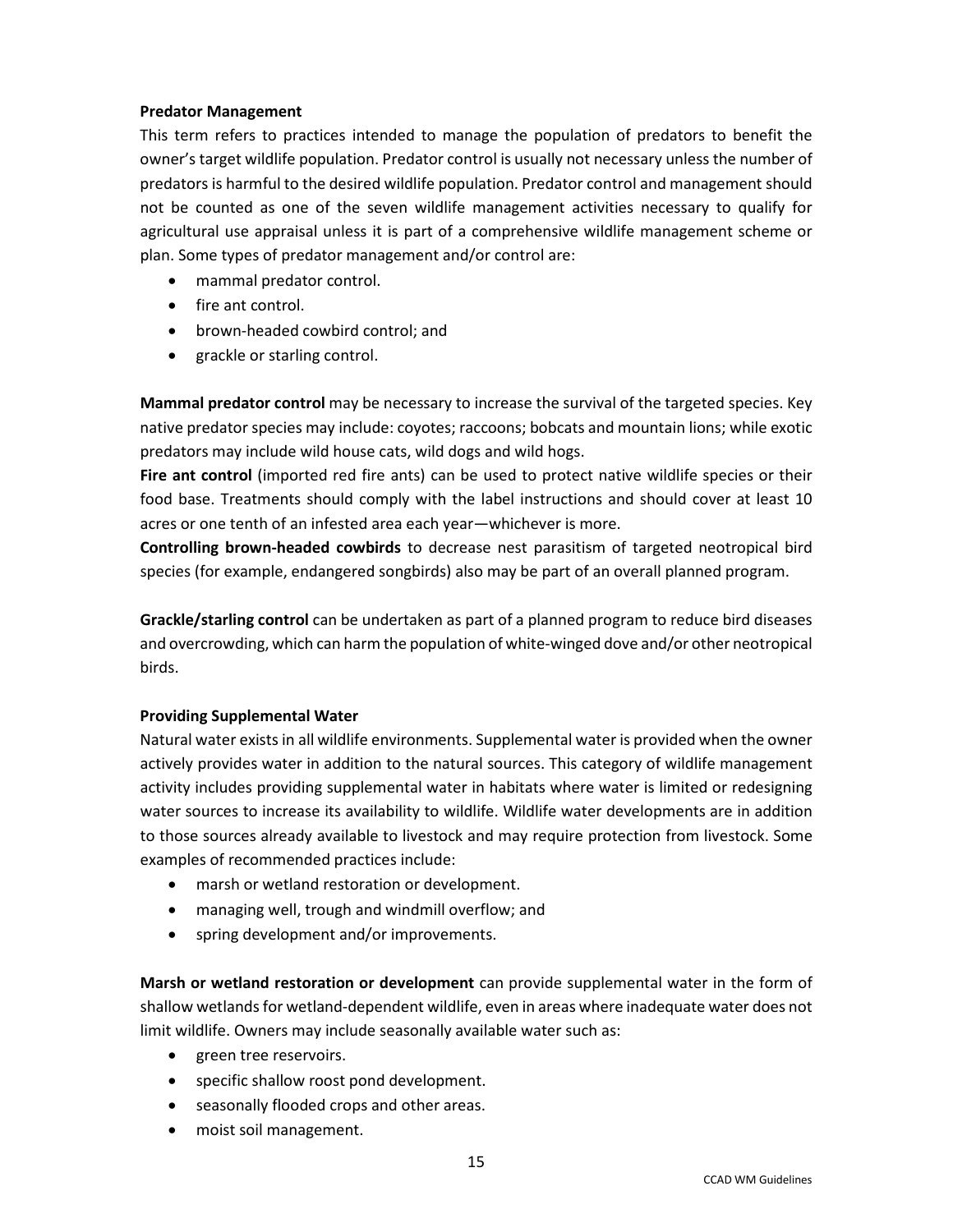#### **Predator Management**

This term refers to practices intended to manage the population of predators to benefit the owner's target wildlife population. Predator control is usually not necessary unless the number of predators is harmful to the desired wildlife population. Predator control and management should not be counted as one of the seven wildlife management activities necessary to qualify for agricultural use appraisal unless it is part of a comprehensive wildlife management scheme or plan. Some types of predator management and/or control are:

- mammal predator control.
- fire ant control.
- brown-headed cowbird control; and
- grackle or starling control.

**Mammal predator control** may be necessary to increase the survival of the targeted species. Key native predator species may include: coyotes; raccoons; bobcats and mountain lions; while exotic predators may include wild house cats, wild dogs and wild hogs.

**Fire ant control** (imported red fire ants) can be used to protect native wildlife species or their food base. Treatments should comply with the label instructions and should cover at least 10 acres or one tenth of an infested area each year—whichever is more.

**Controlling brown-headed cowbirds** to decrease nest parasitism of targeted neotropical bird species (for example, endangered songbirds) also may be part of an overall planned program.

**Grackle/starling control** can be undertaken as part of a planned program to reduce bird diseases and overcrowding, which can harm the population of white-winged dove and/or other neotropical birds.

#### **Providing Supplemental Water**

Natural water exists in all wildlife environments. Supplemental water is provided when the owner actively provides water in addition to the natural sources. This category of wildlife management activity includes providing supplemental water in habitats where water is limited or redesigning water sources to increase its availability to wildlife. Wildlife water developments are in addition to those sources already available to livestock and may require protection from livestock. Some examples of recommended practices include:

- marsh or wetland restoration or development.
- managing well, trough and windmill overflow; and
- spring development and/or improvements.

**Marsh or wetland restoration or development** can provide supplemental water in the form of shallow wetlands for wetland-dependent wildlife, even in areas where inadequate water does not limit wildlife. Owners may include seasonally available water such as:

- green tree reservoirs.
- specific shallow roost pond development.
- seasonally flooded crops and other areas.
- moist soil management.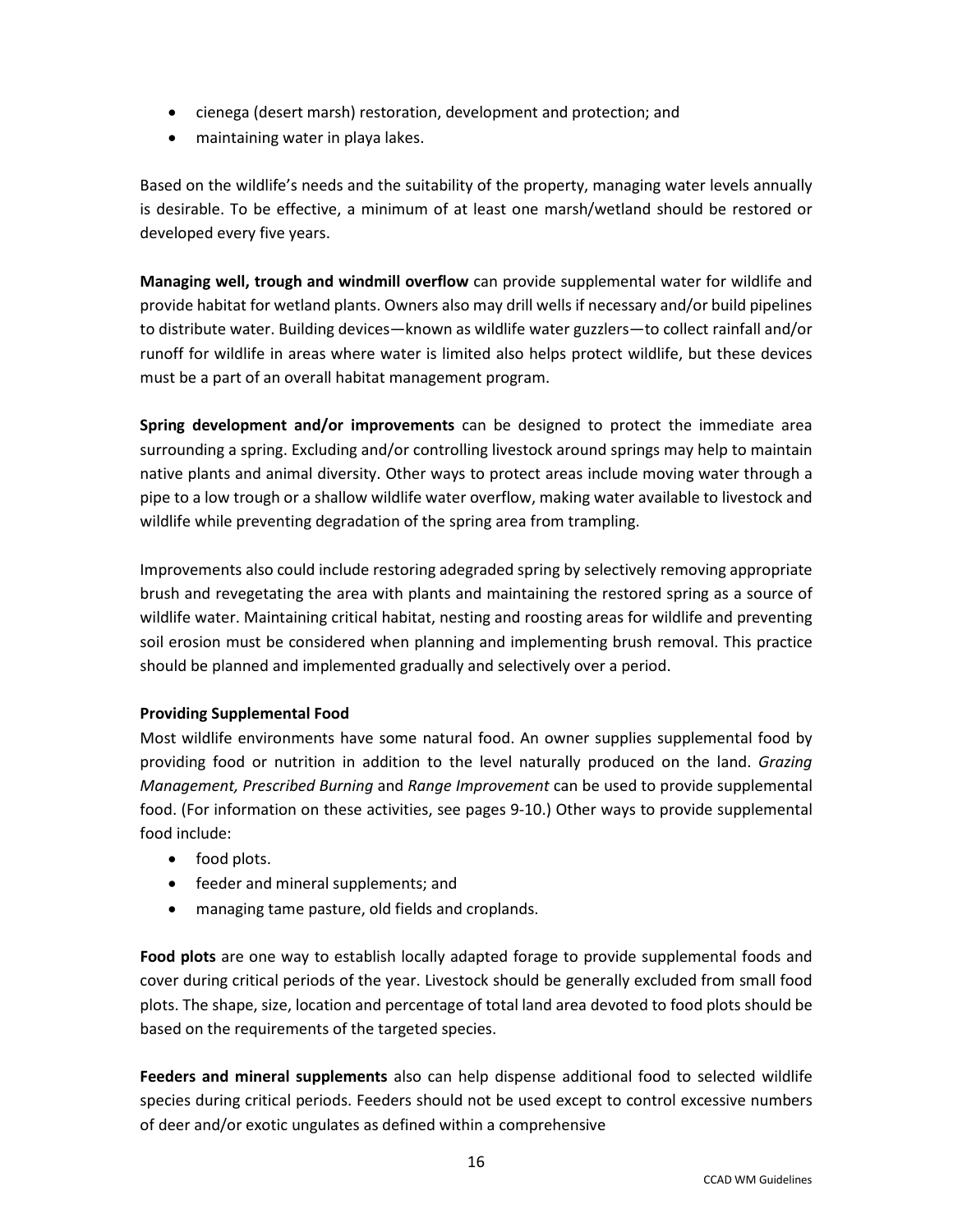- cienega (desert marsh) restoration, development and protection; and
- maintaining water in playa lakes.

Based on the wildlife's needs and the suitability of the property, managing water levels annually is desirable. To be effective, a minimum of at least one marsh/wetland should be restored or developed every five years.

**Managing well, trough and windmill overflow** can provide supplemental water for wildlife and provide habitat for wetland plants. Owners also may drill wells if necessary and/or build pipelines to distribute water. Building devices—known as wildlife water guzzlers—to collect rainfall and/or runoff for wildlife in areas where water is limited also helps protect wildlife, but these devices must be a part of an overall habitat management program.

**Spring development and/or improvements** can be designed to protect the immediate area surrounding a spring. Excluding and/or controlling livestock around springs may help to maintain native plants and animal diversity. Other ways to protect areas include moving water through a pipe to a low trough or a shallow wildlife water overflow, making water available to livestock and wildlife while preventing degradation of the spring area from trampling.

Improvements also could include restoring adegraded spring by selectively removing appropriate brush and revegetating the area with plants and maintaining the restored spring as a source of wildlife water. Maintaining critical habitat, nesting and roosting areas for wildlife and preventing soil erosion must be considered when planning and implementing brush removal. This practice should be planned and implemented gradually and selectively over a period.

#### **Providing Supplemental Food**

Most wildlife environments have some natural food. An owner supplies supplemental food by providing food or nutrition in addition to the level naturally produced on the land. *Grazing Management, Prescribed Burning* and *Range Improvement* can be used to provide supplemental food. (For information on these activities, see pages 9-10.) Other ways to provide supplemental food include:

- food plots.
- feeder and mineral supplements; and
- managing tame pasture, old fields and croplands.

**Food plots** are one way to establish locally adapted forage to provide supplemental foods and cover during critical periods of the year. Livestock should be generally excluded from small food plots. The shape, size, location and percentage of total land area devoted to food plots should be based on the requirements of the targeted species.

**Feeders and mineral supplements** also can help dispense additional food to selected wildlife species during critical periods. Feeders should not be used except to control excessive numbers of deer and/or exotic ungulates as defined within a comprehensive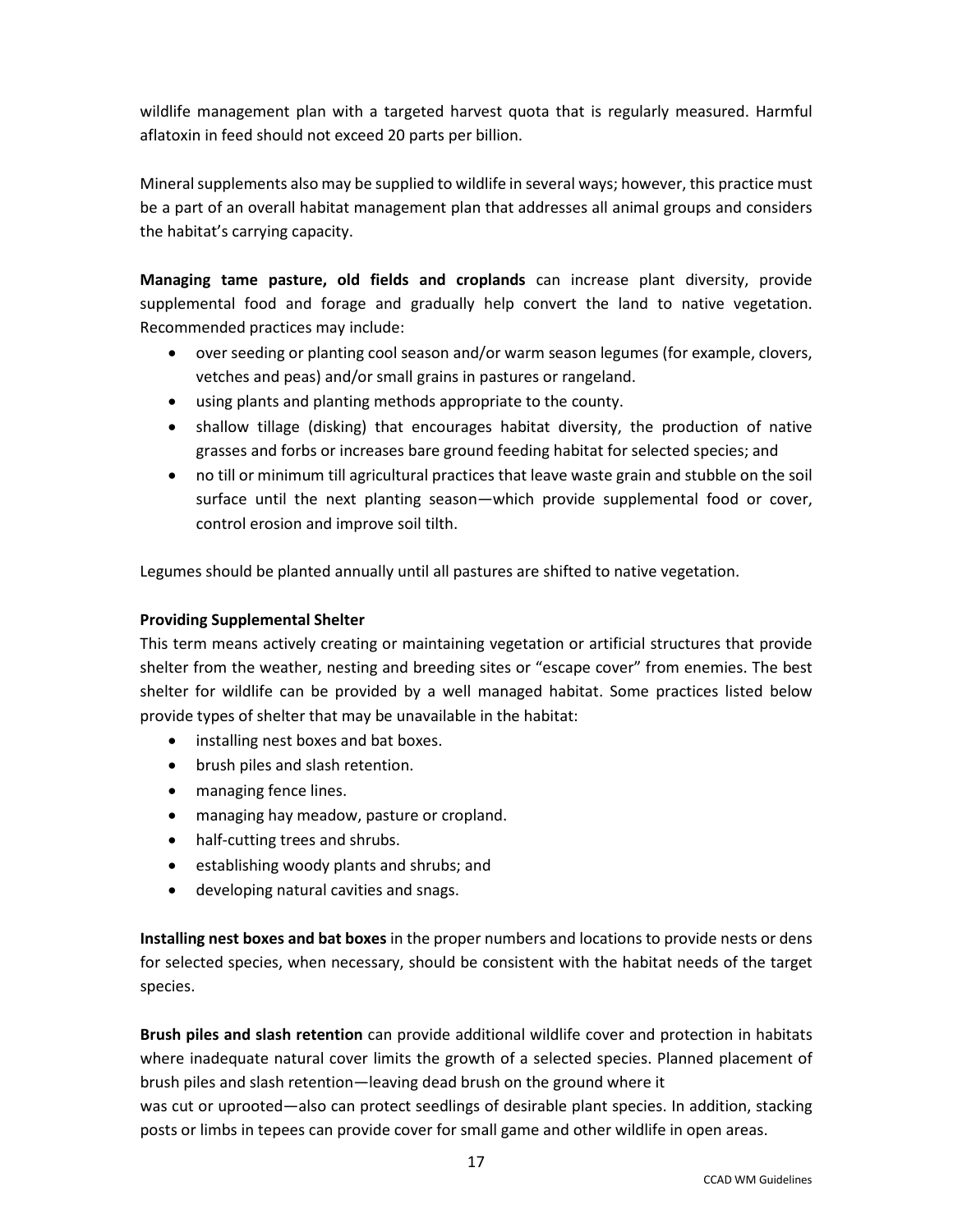wildlife management plan with a targeted harvest quota that is regularly measured. Harmful aflatoxin in feed should not exceed 20 parts per billion.

Mineral supplements also may be supplied to wildlife in several ways; however, this practice must be a part of an overall habitat management plan that addresses all animal groups and considers the habitat's carrying capacity.

**Managing tame pasture, old fields and croplands** can increase plant diversity, provide supplemental food and forage and gradually help convert the land to native vegetation. Recommended practices may include:

- over seeding or planting cool season and/or warm season legumes (for example, clovers, vetches and peas) and/or small grains in pastures or rangeland.
- using plants and planting methods appropriate to the county.
- shallow tillage (disking) that encourages habitat diversity, the production of native grasses and forbs or increases bare ground feeding habitat for selected species; and
- no till or minimum till agricultural practices that leave waste grain and stubble on the soil surface until the next planting season—which provide supplemental food or cover, control erosion and improve soil tilth.

Legumes should be planted annually until all pastures are shifted to native vegetation.

#### **Providing Supplemental Shelter**

This term means actively creating or maintaining vegetation or artificial structures that provide shelter from the weather, nesting and breeding sites or "escape cover" from enemies. The best shelter for wildlife can be provided by a well managed habitat. Some practices listed below provide types of shelter that may be unavailable in the habitat:

- installing nest boxes and bat boxes.
- brush piles and slash retention.
- managing fence lines.
- managing hay meadow, pasture or cropland.
- half-cutting trees and shrubs.
- establishing woody plants and shrubs; and
- developing natural cavities and snags.

**Installing nest boxes and bat boxes** in the proper numbers and locations to provide nests or dens for selected species, when necessary, should be consistent with the habitat needs of the target species.

**Brush piles and slash retention** can provide additional wildlife cover and protection in habitats where inadequate natural cover limits the growth of a selected species. Planned placement of brush piles and slash retention—leaving dead brush on the ground where it

was cut or uprooted—also can protect seedlings of desirable plant species. In addition, stacking posts or limbs in tepees can provide cover for small game and other wildlife in open areas.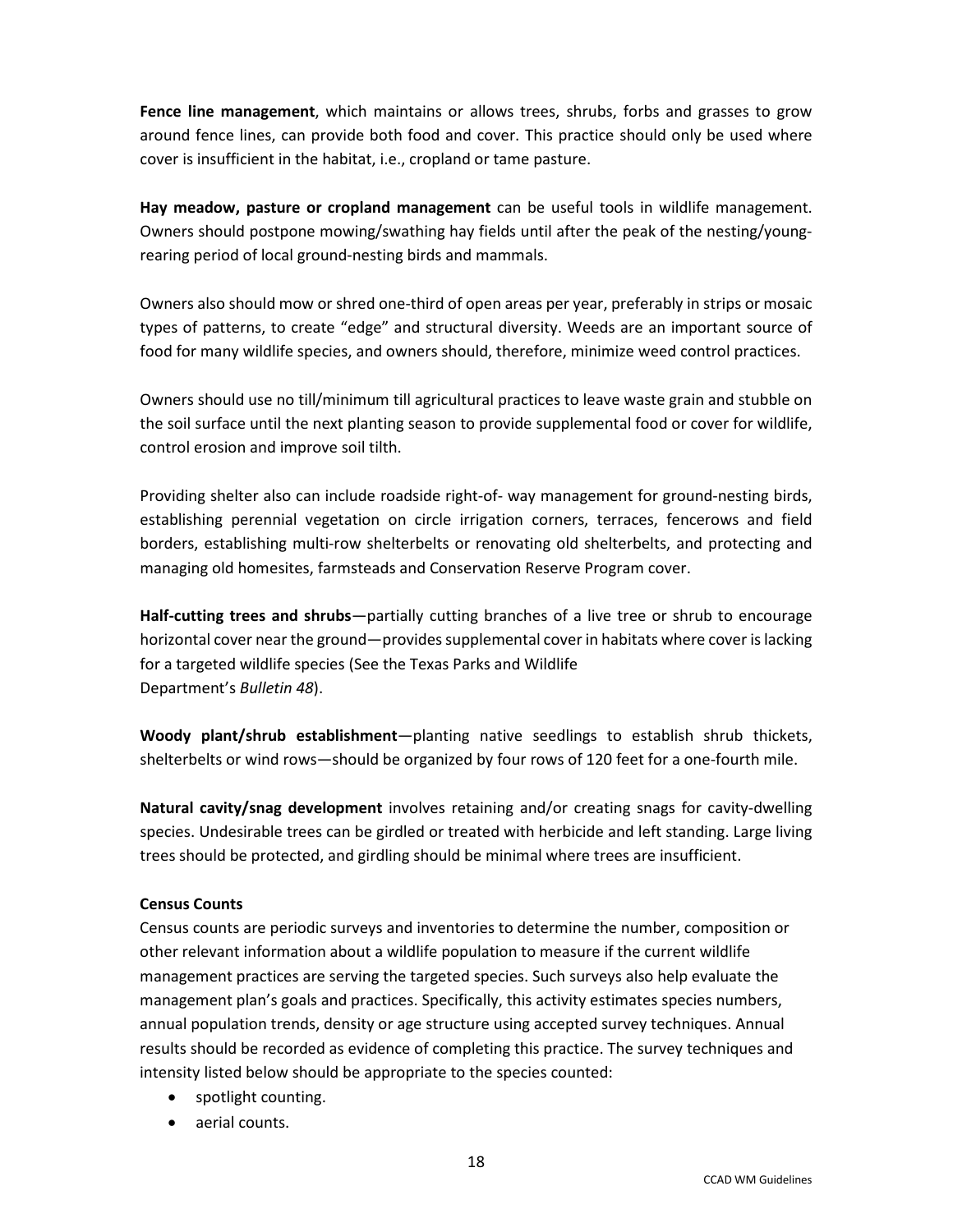**Fence line management**, which maintains or allows trees, shrubs, forbs and grasses to grow around fence lines, can provide both food and cover. This practice should only be used where cover is insufficient in the habitat, i.e., cropland or tame pasture.

**Hay meadow, pasture or cropland management** can be useful tools in wildlife management. Owners should postpone mowing/swathing hay fields until after the peak of the nesting/youngrearing period of local ground-nesting birds and mammals.

Owners also should mow or shred one-third of open areas per year, preferably in strips or mosaic types of patterns, to create "edge" and structural diversity. Weeds are an important source of food for many wildlife species, and owners should, therefore, minimize weed control practices.

Owners should use no till/minimum till agricultural practices to leave waste grain and stubble on the soil surface until the next planting season to provide supplemental food or cover for wildlife, control erosion and improve soil tilth.

Providing shelter also can include roadside right-of- way management for ground-nesting birds, establishing perennial vegetation on circle irrigation corners, terraces, fencerows and field borders, establishing multi-row shelterbelts or renovating old shelterbelts, and protecting and managing old homesites, farmsteads and Conservation Reserve Program cover.

**Half-cutting trees and shrubs**—partially cutting branches of a live tree or shrub to encourage horizontal cover near the ground—provides supplemental cover in habitats where cover is lacking for a targeted wildlife species (See the Texas Parks and Wildlife Department's *Bulletin 48*).

**Woody plant/shrub establishment**—planting native seedlings to establish shrub thickets, shelterbelts or wind rows—should be organized by four rows of 120 feet for a one-fourth mile.

**Natural cavity/snag development** involves retaining and/or creating snags for cavity-dwelling species. Undesirable trees can be girdled or treated with herbicide and left standing. Large living trees should be protected, and girdling should be minimal where trees are insufficient.

#### **Census Counts**

Census counts are periodic surveys and inventories to determine the number, composition or other relevant information about a wildlife population to measure if the current wildlife management practices are serving the targeted species. Such surveys also help evaluate the management plan's goals and practices. Specifically, this activity estimates species numbers, annual population trends, density or age structure using accepted survey techniques. Annual results should be recorded as evidence of completing this practice. The survey techniques and intensity listed below should be appropriate to the species counted:

- spotlight counting.
- aerial counts.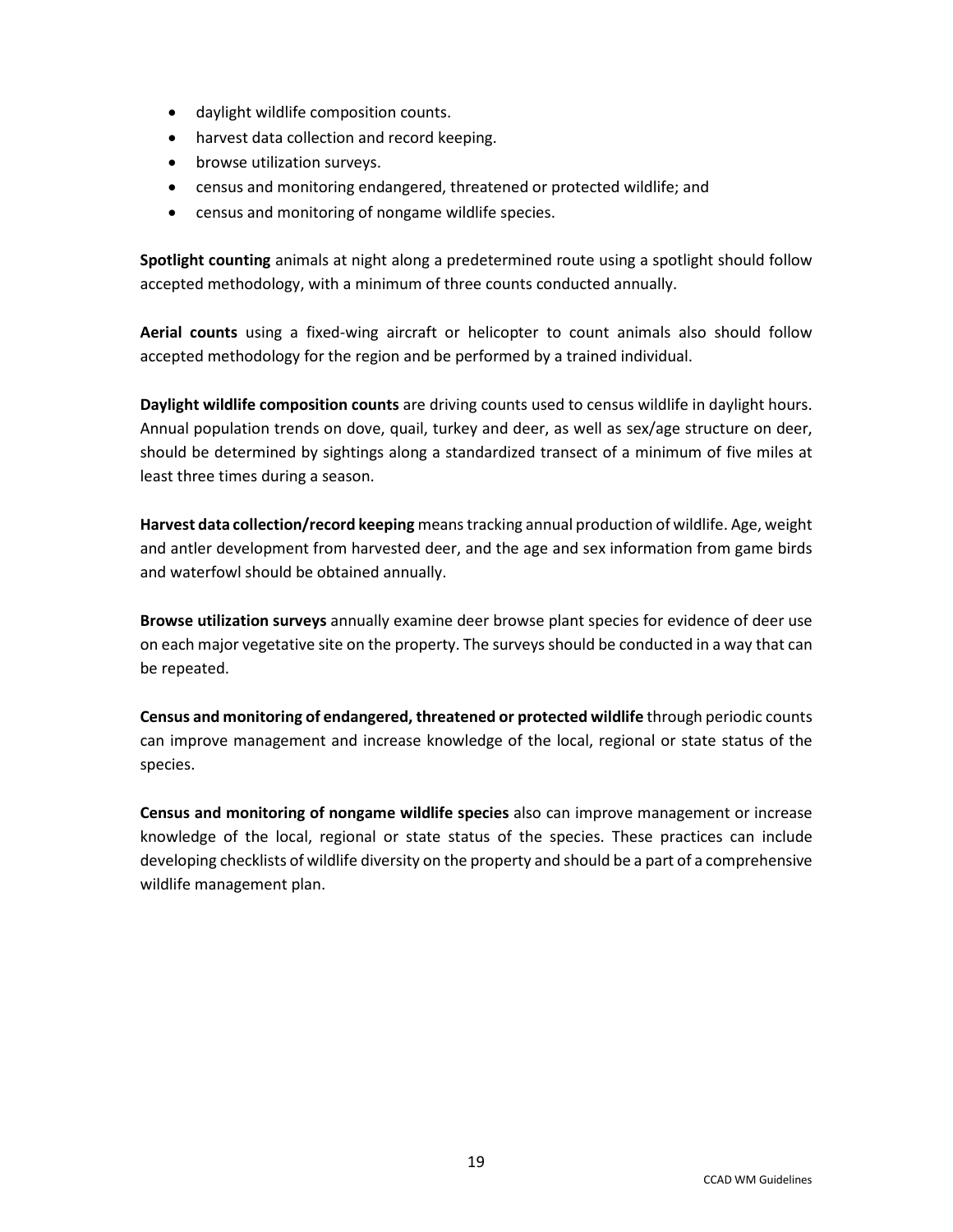- daylight wildlife composition counts.
- harvest data collection and record keeping.
- browse utilization surveys.
- census and monitoring endangered, threatened or protected wildlife; and
- census and monitoring of nongame wildlife species.

**Spotlight counting** animals at night along a predetermined route using a spotlight should follow accepted methodology, with a minimum of three counts conducted annually.

**Aerial counts** using a fixed-wing aircraft or helicopter to count animals also should follow accepted methodology for the region and be performed by a trained individual.

**Daylight wildlife composition counts** are driving counts used to census wildlife in daylight hours. Annual population trends on dove, quail, turkey and deer, as well as sex/age structure on deer, should be determined by sightings along a standardized transect of a minimum of five miles at least three times during a season.

**Harvest data collection/record keeping** meanstracking annual production of wildlife. Age, weight and antler development from harvested deer, and the age and sex information from game birds and waterfowl should be obtained annually.

**Browse utilization surveys** annually examine deer browse plant species for evidence of deer use on each major vegetative site on the property. The surveys should be conducted in a way that can be repeated.

**Census and monitoring of endangered, threatened or protected wildlife** through periodic counts can improve management and increase knowledge of the local, regional or state status of the species.

**Census and monitoring of nongame wildlife species** also can improve management or increase knowledge of the local, regional or state status of the species. These practices can include developing checklists of wildlife diversity on the property and should be a part of a comprehensive wildlife management plan.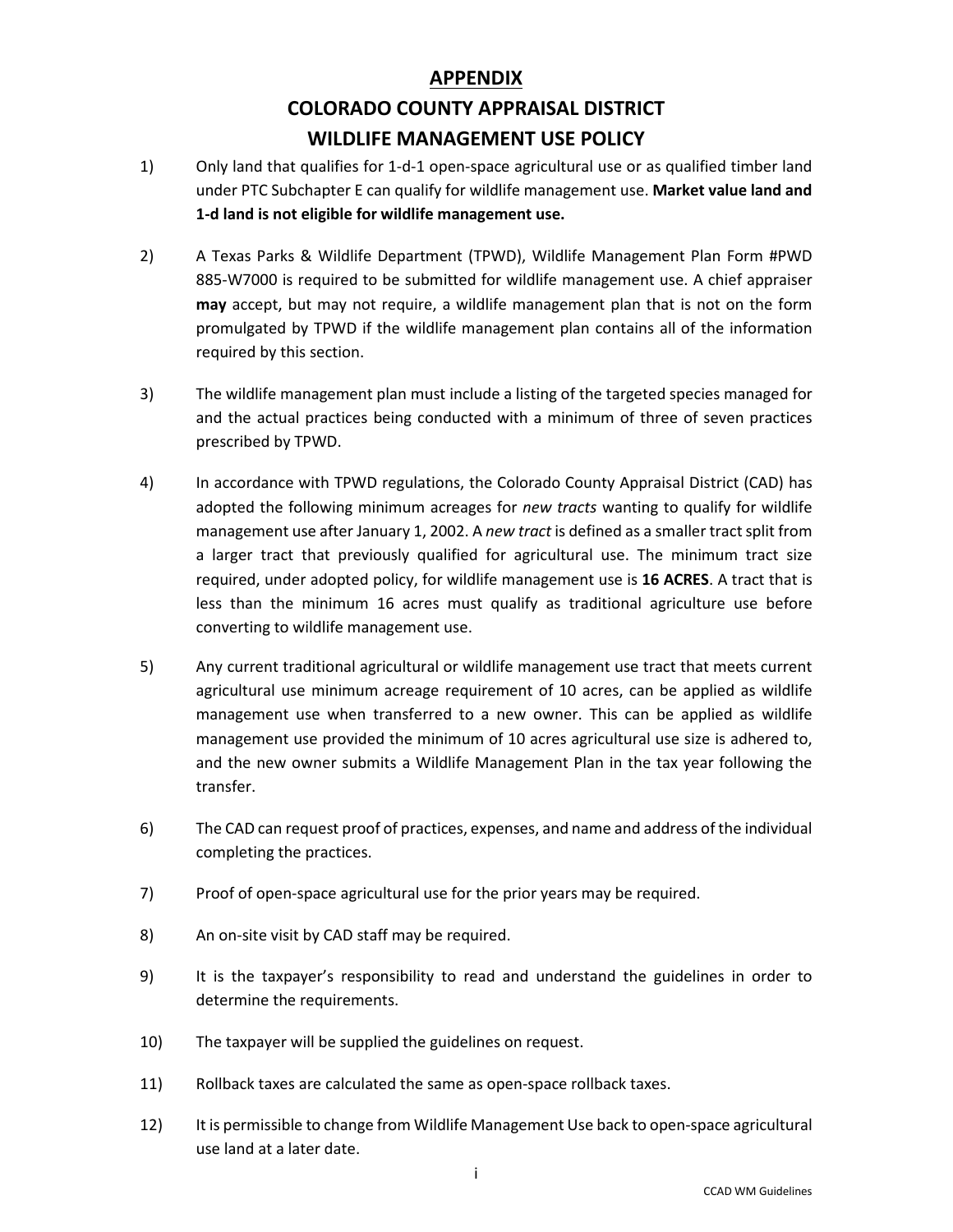## **APPENDIX COLORADO COUNTY APPRAISAL DISTRICT WILDLIFE MANAGEMENT USE POLICY**

- 1) Only land that qualifies for 1-d-1 open-space agricultural use or as qualified timber land under PTC Subchapter E can qualify for wildlife management use. **Market value land and 1-d land is not eligible for wildlife management use.**
- 2) A Texas Parks & Wildlife Department (TPWD), Wildlife Management Plan Form #PWD 885-W7000 is required to be submitted for wildlife management use. A chief appraiser **may** accept, but may not require, a wildlife management plan that is not on the form promulgated by TPWD if the wildlife management plan contains all of the information required by this section.
- 3) The wildlife management plan must include a listing of the targeted species managed for and the actual practices being conducted with a minimum of three of seven practices prescribed by TPWD.
- 4) In accordance with TPWD regulations, the Colorado County Appraisal District (CAD) has adopted the following minimum acreages for *new tracts* wanting to qualify for wildlife management use after January 1, 2002. A *new tract* is defined as a smaller tract split from a larger tract that previously qualified for agricultural use. The minimum tract size required, under adopted policy, for wildlife management use is **16 ACRES**. A tract that is less than the minimum 16 acres must qualify as traditional agriculture use before converting to wildlife management use.
- 5) Any current traditional agricultural or wildlife management use tract that meets current agricultural use minimum acreage requirement of 10 acres, can be applied as wildlife management use when transferred to a new owner. This can be applied as wildlife management use provided the minimum of 10 acres agricultural use size is adhered to, and the new owner submits a Wildlife Management Plan in the tax year following the transfer.
- 6) The CAD can request proof of practices, expenses, and name and address of the individual completing the practices.
- 7) Proof of open-space agricultural use for the prior years may be required.
- 8) An on-site visit by CAD staff may be required.
- 9) It is the taxpayer's responsibility to read and understand the guidelines in order to determine the requirements.
- 10) The taxpayer will be supplied the guidelines on request.
- 11) Rollback taxes are calculated the same as open-space rollback taxes.
- 12) It is permissible to change from Wildlife Management Use back to open-space agricultural use land at a later date.